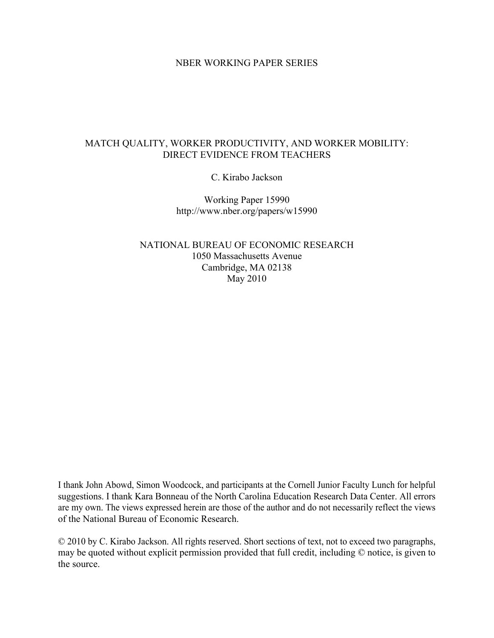## NBER WORKING PAPER SERIES

## MATCH QUALITY, WORKER PRODUCTIVITY, AND WORKER MOBILITY: DIRECT EVIDENCE FROM TEACHERS

C. Kirabo Jackson

Working Paper 15990 http://www.nber.org/papers/w15990

NATIONAL BUREAU OF ECONOMIC RESEARCH 1050 Massachusetts Avenue Cambridge, MA 02138 May 2010

I thank John Abowd, Simon Woodcock, and participants at the Cornell Junior Faculty Lunch for helpful suggestions. I thank Kara Bonneau of the North Carolina Education Research Data Center. All errors are my own. The views expressed herein are those of the author and do not necessarily reflect the views of the National Bureau of Economic Research.

© 2010 by C. Kirabo Jackson. All rights reserved. Short sections of text, not to exceed two paragraphs, may be quoted without explicit permission provided that full credit, including © notice, is given to the source.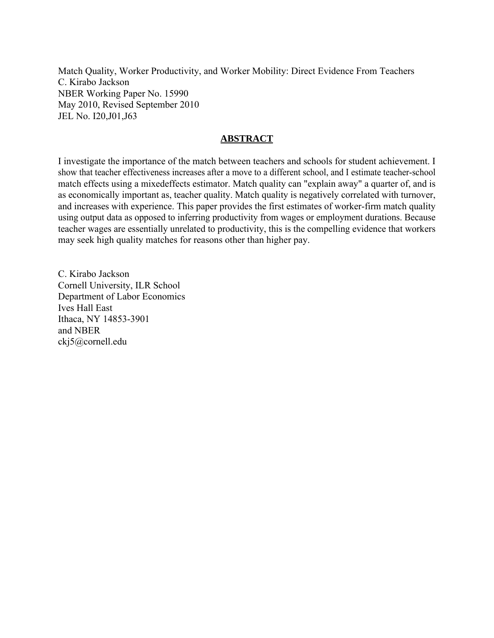Match Quality, Worker Productivity, and Worker Mobility: Direct Evidence From Teachers C. Kirabo Jackson NBER Working Paper No. 15990 May 2010, Revised September 2010 JEL No. I20,J01,J63

## **ABSTRACT**

I investigate the importance of the match between teachers and schools for student achievement. I show that teacher effectiveness increases after a move to a different school, and I estimate teacher-school match effects using a mixedeffects estimator. Match quality can "explain away" a quarter of, and is as economically important as, teacher quality. Match quality is negatively correlated with turnover, and increases with experience. This paper provides the first estimates of worker-firm match quality using output data as opposed to inferring productivity from wages or employment durations. Because teacher wages are essentially unrelated to productivity, this is the compelling evidence that workers may seek high quality matches for reasons other than higher pay.

C. Kirabo Jackson Cornell University, ILR School Department of Labor Economics Ives Hall East Ithaca, NY 14853-3901 and NBER ckj5@cornell.edu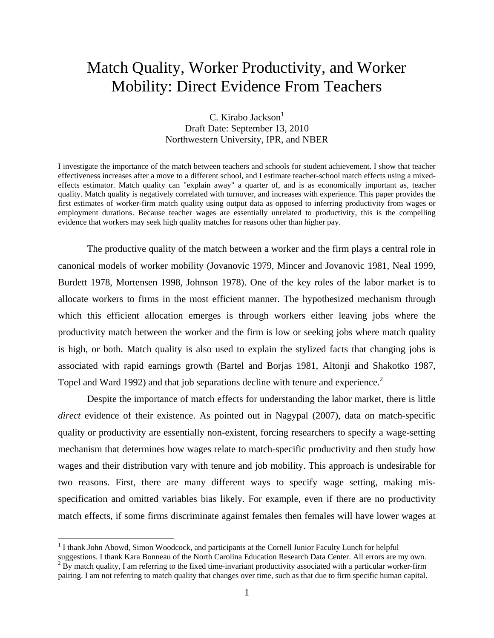# Match Quality, Worker Productivity, and Worker Mobility: Direct Evidence From Teachers

## $C.$  Kirabo Jackson $<sup>1</sup>$ </sup> Draft Date: September 13, 2010 Northwestern University, IPR, and NBER

I investigate the importance of the match between teachers and schools for student achievement. I show that teacher effectiveness increases after a move to a different school, and I estimate teacher-school match effects using a mixedeffects estimator. Match quality can "explain away" a quarter of, and is as economically important as, teacher quality. Match quality is negatively correlated with turnover, and increases with experience. This paper provides the first estimates of worker-firm match quality using output data as opposed to inferring productivity from wages or employment durations. Because teacher wages are essentially unrelated to productivity, this is the compelling evidence that workers may seek high quality matches for reasons other than higher pay.

 The productive quality of the match between a worker and the firm plays a central role in canonical models of worker mobility (Jovanovic 1979, Mincer and Jovanovic 1981, Neal 1999, Burdett 1978, Mortensen 1998, Johnson 1978). One of the key roles of the labor market is to allocate workers to firms in the most efficient manner. The hypothesized mechanism through which this efficient allocation emerges is through workers either leaving jobs where the productivity match between the worker and the firm is low or seeking jobs where match quality is high, or both. Match quality is also used to explain the stylized facts that changing jobs is associated with rapid earnings growth (Bartel and Borjas 1981, Altonji and Shakotko 1987, Topel and Ward 1992) and that job separations decline with tenure and experience.<sup>2</sup>

 Despite the importance of match effects for understanding the labor market, there is little *direct* evidence of their existence. As pointed out in Nagypal (2007), data on match-specific quality or productivity are essentially non-existent, forcing researchers to specify a wage-setting mechanism that determines how wages relate to match-specific productivity and then study how wages and their distribution vary with tenure and job mobility. This approach is undesirable for two reasons. First, there are many different ways to specify wage setting, making misspecification and omitted variables bias likely. For example, even if there are no productivity match effects, if some firms discriminate against females then females will have lower wages at

 $\overline{a}$ 

<sup>&</sup>lt;sup>1</sup> I thank John Abowd, Simon Woodcock, and participants at the Cornell Junior Faculty Lunch for helpful

suggestions. I thank Kara Bonneau of the North Carolina Education Research Data Center. All errors are my own.  $<sup>2</sup>$  By match quality, I am referring to the fixed time-invariant productivity associated with a particular worker-firm</sup> pairing. I am not referring to match quality that changes over time, such as that due to firm specific human capital.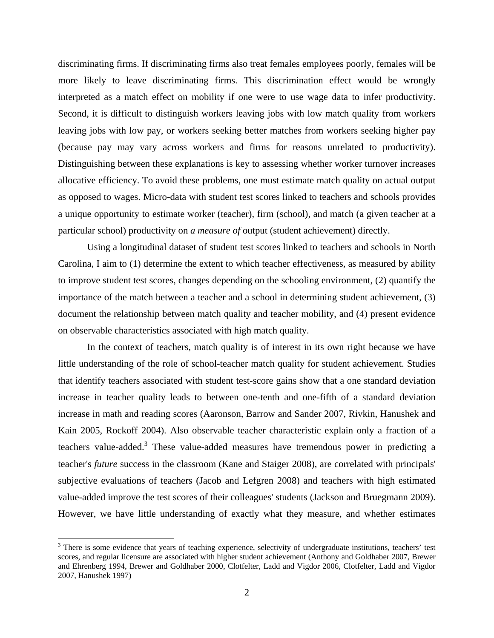discriminating firms. If discriminating firms also treat females employees poorly, females will be more likely to leave discriminating firms. This discrimination effect would be wrongly interpreted as a match effect on mobility if one were to use wage data to infer productivity. Second, it is difficult to distinguish workers leaving jobs with low match quality from workers leaving jobs with low pay, or workers seeking better matches from workers seeking higher pay (because pay may vary across workers and firms for reasons unrelated to productivity). Distinguishing between these explanations is key to assessing whether worker turnover increases allocative efficiency. To avoid these problems, one must estimate match quality on actual output as opposed to wages. Micro-data with student test scores linked to teachers and schools provides a unique opportunity to estimate worker (teacher), firm (school), and match (a given teacher at a particular school) productivity on *a measure of* output (student achievement) directly.

 Using a longitudinal dataset of student test scores linked to teachers and schools in North Carolina, I aim to (1) determine the extent to which teacher effectiveness, as measured by ability to improve student test scores, changes depending on the schooling environment, (2) quantify the importance of the match between a teacher and a school in determining student achievement, (3) document the relationship between match quality and teacher mobility, and (4) present evidence on observable characteristics associated with high match quality.

 In the context of teachers, match quality is of interest in its own right because we have little understanding of the role of school-teacher match quality for student achievement. Studies that identify teachers associated with student test-score gains show that a one standard deviation increase in teacher quality leads to between one-tenth and one-fifth of a standard deviation increase in math and reading scores (Aaronson, Barrow and Sander 2007, Rivkin, Hanushek and Kain 2005, Rockoff 2004). Also observable teacher characteristic explain only a fraction of a teachers value-added.<sup>3</sup> These value-added measures have tremendous power in predicting a teacher's *future* success in the classroom (Kane and Staiger 2008), are correlated with principals' subjective evaluations of teachers (Jacob and Lefgren 2008) and teachers with high estimated value-added improve the test scores of their colleagues' students (Jackson and Bruegmann 2009). However, we have little understanding of exactly what they measure, and whether estimates

<u>.</u>

 $3$  There is some evidence that years of teaching experience, selectivity of undergraduate institutions, teachers' test scores, and regular licensure are associated with higher student achievement (Anthony and Goldhaber 2007, Brewer and Ehrenberg 1994, Brewer and Goldhaber 2000, Clotfelter, Ladd and Vigdor 2006, Clotfelter, Ladd and Vigdor 2007, Hanushek 1997)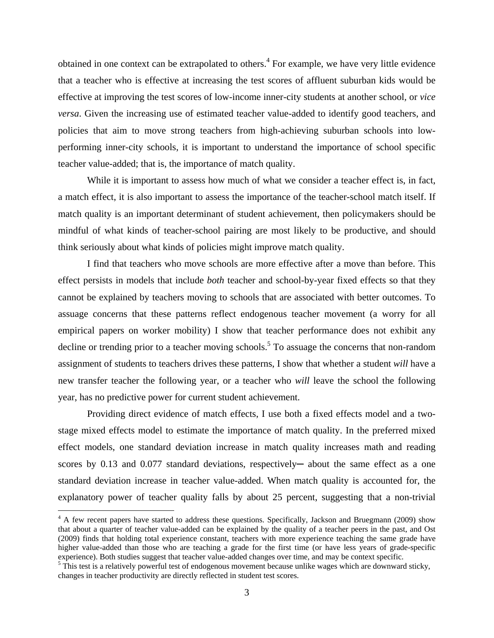obtained in one context can be extrapolated to others.<sup>4</sup> For example, we have very little evidence that a teacher who is effective at increasing the test scores of affluent suburban kids would be effective at improving the test scores of low-income inner-city students at another school*,* or *vice versa*. Given the increasing use of estimated teacher value-added to identify good teachers, and policies that aim to move strong teachers from high-achieving suburban schools into lowperforming inner-city schools, it is important to understand the importance of school specific teacher value-added; that is, the importance of match quality.

 While it is important to assess how much of what we consider a teacher effect is, in fact, a match effect, it is also important to assess the importance of the teacher-school match itself. If match quality is an important determinant of student achievement, then policymakers should be mindful of what kinds of teacher-school pairing are most likely to be productive, and should think seriously about what kinds of policies might improve match quality.

 I find that teachers who move schools are more effective after a move than before. This effect persists in models that include *both* teacher and school-by-year fixed effects so that they cannot be explained by teachers moving to schools that are associated with better outcomes. To assuage concerns that these patterns reflect endogenous teacher movement (a worry for all empirical papers on worker mobility) I show that teacher performance does not exhibit any decline or trending prior to a teacher moving schools.<sup>5</sup> To assuage the concerns that non-random assignment of students to teachers drives these patterns, I show that whether a student *will* have a new transfer teacher the following year, or a teacher who *will* leave the school the following year, has no predictive power for current student achievement.

 Providing direct evidence of match effects, I use both a fixed effects model and a twostage mixed effects model to estimate the importance of match quality. In the preferred mixed effect models, one standard deviation increase in match quality increases math and reading scores by 0.13 and 0.077 standard deviations, respectively— about the same effect as a one standard deviation increase in teacher value-added. When match quality is accounted for, the explanatory power of teacher quality falls by about 25 percent, suggesting that a non-trivial

<u>.</u>

<sup>&</sup>lt;sup>4</sup> A few recent papers have started to address these questions. Specifically, Jackson and Bruegmann (2009) show that about a quarter of teacher value-added can be explained by the quality of a teacher peers in the past, and Ost (2009) finds that holding total experience constant, teachers with more experience teaching the same grade have higher value-added than those who are teaching a grade for the first time (or have less years of grade-specific experience). Both studies suggest that teacher value-added changes over time, and may be context specific.

<sup>&</sup>lt;sup>5</sup> This test is a relatively powerful test of endogenous movement because unlike wages which are downward sticky, changes in teacher productivity are directly reflected in student test scores.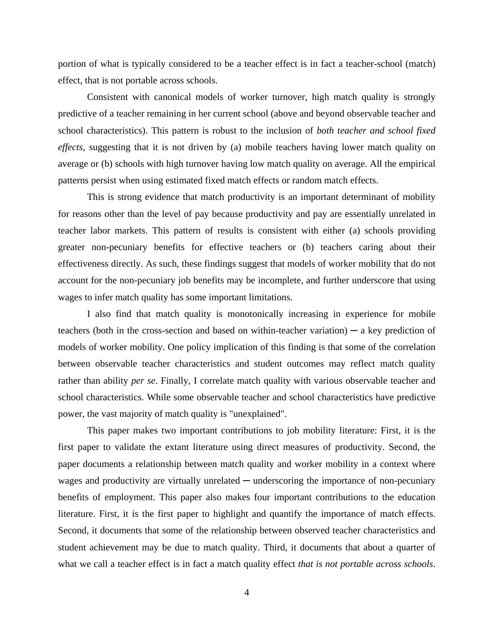portion of what is typically considered to be a teacher effect is in fact a teacher-school (match) effect, that is not portable across schools.

 Consistent with canonical models of worker turnover, high match quality is strongly predictive of a teacher remaining in her current school (above and beyond observable teacher and school characteristics). This pattern is robust to the inclusion of *both teacher and school fixed effects*, suggesting that it is not driven by (a) mobile teachers having lower match quality on average or (b) schools with high turnover having low match quality on average. All the empirical patterns persist when using estimated fixed match effects or random match effects.

 This is strong evidence that match productivity is an important determinant of mobility for reasons other than the level of pay because productivity and pay are essentially unrelated in teacher labor markets. This pattern of results is consistent with either (a) schools providing greater non-pecuniary benefits for effective teachers or (b) teachers caring about their effectiveness directly. As such, these findings suggest that models of worker mobility that do not account for the non-pecuniary job benefits may be incomplete, and further underscore that using wages to infer match quality has some important limitations.

 I also find that match quality is monotonically increasing in experience for mobile teachers (both in the cross-section and based on within-teacher variation)  $-$  a key prediction of models of worker mobility. One policy implication of this finding is that some of the correlation between observable teacher characteristics and student outcomes may reflect match quality rather than ability *per se*. Finally, I correlate match quality with various observable teacher and school characteristics. While some observable teacher and school characteristics have predictive power, the vast majority of match quality is "unexplained".

 This paper makes two important contributions to job mobility literature: First, it is the first paper to validate the extant literature using direct measures of productivity. Second, the paper documents a relationship between match quality and worker mobility in a context where wages and productivity are virtually unrelated  $-$  underscoring the importance of non-pecuniary benefits of employment. This paper also makes four important contributions to the education literature. First, it is the first paper to highlight and quantify the importance of match effects. Second, it documents that some of the relationship between observed teacher characteristics and student achievement may be due to match quality. Third, it documents that about a quarter of what we call a teacher effect is in fact a match quality effect *that is not portable across schools*.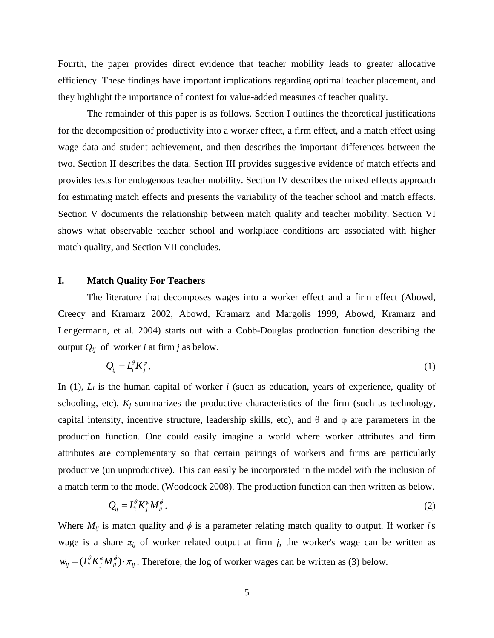Fourth, the paper provides direct evidence that teacher mobility leads to greater allocative efficiency. These findings have important implications regarding optimal teacher placement, and they highlight the importance of context for value-added measures of teacher quality.

 The remainder of this paper is as follows. Section I outlines the theoretical justifications for the decomposition of productivity into a worker effect, a firm effect, and a match effect using wage data and student achievement, and then describes the important differences between the two. Section II describes the data. Section III provides suggestive evidence of match effects and provides tests for endogenous teacher mobility. Section IV describes the mixed effects approach for estimating match effects and presents the variability of the teacher school and match effects. Section V documents the relationship between match quality and teacher mobility. Section VI shows what observable teacher school and workplace conditions are associated with higher match quality, and Section VII concludes.

## **I. Match Quality For Teachers**

 The literature that decomposes wages into a worker effect and a firm effect (Abowd, Creecy and Kramarz 2002, Abowd, Kramarz and Margolis 1999, Abowd, Kramarz and Lengermann, et al. 2004) starts out with a Cobb-Douglas production function describing the output  $Q_{ij}$  of worker *i* at firm *j* as below.

$$
Q_{ij} = L_i^{\theta} K_j^{\varphi} \,. \tag{1}
$$

In (1),  $L_i$  is the human capital of worker *i* (such as education, years of experience, quality of schooling, etc),  $K_j$  summarizes the productive characteristics of the firm (such as technology, capital intensity, incentive structure, leadership skills, etc), and  $\theta$  and  $\varphi$  are parameters in the production function. One could easily imagine a world where worker attributes and firm attributes are complementary so that certain pairings of workers and firms are particularly productive (un unproductive). This can easily be incorporated in the model with the inclusion of a match term to the model (Woodcock 2008). The production function can then written as below.

$$
Q_{ij} = L_i^{\theta} K_j^{\phi} M_{ij}^{\phi} \,. \tag{2}
$$

Where  $M_{ij}$  is match quality and  $\phi$  is a parameter relating match quality to output. If worker *i*'s wage is a share  $\pi_{ij}$  of worker related output at firm *j*, the worker's wage can be written as  $w_{ij} = (L_i^{\theta} K_j^{\phi} M_{ij}^{\phi}) \cdot \pi_{ij}$ . Therefore, the log of worker wages can be written as (3) below.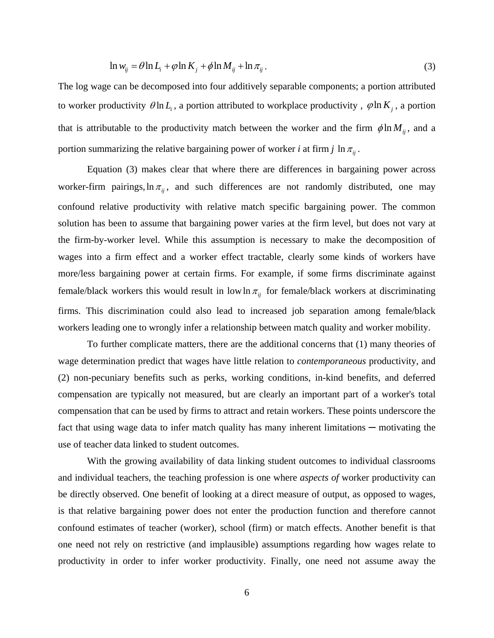$$
\ln w_{ij} = \theta \ln L_i + \varphi \ln K_j + \varphi \ln M_{ij} + \ln \pi_{ij}.
$$
\n(3)

The log wage can be decomposed into four additively separable components; a portion attributed to worker productivity  $\theta \ln L_i$ , a portion attributed to workplace productivity,  $\phi \ln K_i$ , a portion that is attributable to the productivity match between the worker and the firm  $\phi \ln M_{ii}$ , and a portion summarizing the relative bargaining power of worker *i* at firm *j*  $\ln \pi_{ii}$ .

 Equation (3) makes clear that where there are differences in bargaining power across worker-firm pairings,  $\ln \pi_{ij}$ , and such differences are not randomly distributed, one may confound relative productivity with relative match specific bargaining power. The common solution has been to assume that bargaining power varies at the firm level, but does not vary at the firm-by-worker level. While this assumption is necessary to make the decomposition of wages into a firm effect and a worker effect tractable, clearly some kinds of workers have more/less bargaining power at certain firms. For example, if some firms discriminate against female/black workers this would result in low  $\ln \pi_{ij}$  for female/black workers at discriminating firms. This discrimination could also lead to increased job separation among female/black workers leading one to wrongly infer a relationship between match quality and worker mobility.

 To further complicate matters, there are the additional concerns that (1) many theories of wage determination predict that wages have little relation to *contemporaneous* productivity, and (2) non-pecuniary benefits such as perks, working conditions, in-kind benefits, and deferred compensation are typically not measured, but are clearly an important part of a worker's total compensation that can be used by firms to attract and retain workers. These points underscore the fact that using wage data to infer match quality has many inherent limitations  $-$  motivating the use of teacher data linked to student outcomes.

 With the growing availability of data linking student outcomes to individual classrooms and individual teachers, the teaching profession is one where *aspects of* worker productivity can be directly observed. One benefit of looking at a direct measure of output, as opposed to wages, is that relative bargaining power does not enter the production function and therefore cannot confound estimates of teacher (worker), school (firm) or match effects. Another benefit is that one need not rely on restrictive (and implausible) assumptions regarding how wages relate to productivity in order to infer worker productivity. Finally, one need not assume away the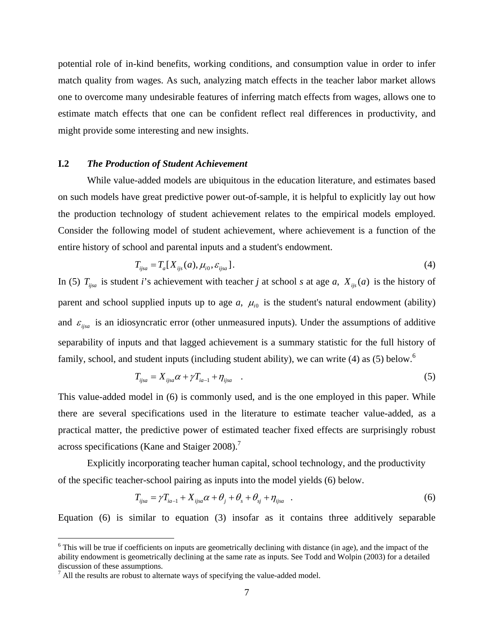potential role of in-kind benefits, working conditions, and consumption value in order to infer match quality from wages. As such, analyzing match effects in the teacher labor market allows one to overcome many undesirable features of inferring match effects from wages, allows one to estimate match effects that one can be confident reflect real differences in productivity, and might provide some interesting and new insights.

#### **I.2** *The Production of Student Achievement*

 While value-added models are ubiquitous in the education literature, and estimates based on such models have great predictive power out-of-sample, it is helpful to explicitly lay out how the production technology of student achievement relates to the empirical models employed. Consider the following model of student achievement, where achievement is a function of the entire history of school and parental inputs and a student's endowment.

$$
T_{ijsa} = T_a[X_{ijs}(a), \mu_{i0}, \varepsilon_{ijsa}].
$$
\n
$$
\tag{4}
$$

In (5)  $T_{ijsa}$  is student *i*'s achievement with teacher *j* at school *s* at age *a*,  $X_{ijs}(a)$  is the history of parent and school supplied inputs up to age  $a$ ,  $\mu_{i0}$  is the student's natural endowment (ability) and  $\varepsilon_{i}$  is an idiosyncratic error (other unmeasured inputs). Under the assumptions of additive separability of inputs and that lagged achievement is a summary statistic for the full history of family, school, and student inputs (including student ability), we can write (4) as (5) below.<sup>6</sup>

$$
T_{ijsa} = X_{ijsa} \alpha + \gamma T_{ia-1} + \eta_{ijsa} \quad . \tag{5}
$$

This value-added model in (6) is commonly used, and is the one employed in this paper. While there are several specifications used in the literature to estimate teacher value-added, as a practical matter, the predictive power of estimated teacher fixed effects are surprisingly robust across specifications (Kane and Staiger 2008).<sup>7</sup>

 Explicitly incorporating teacher human capital, school technology, and the productivity of the specific teacher-school pairing as inputs into the model yields (6) below.

$$
T_{ijsa} = \gamma T_{ia-1} + X_{ijsa}\alpha + \theta_j + \theta_s + \theta_{sj} + \eta_{ijsa} \quad . \tag{6}
$$

Equation (6) is similar to equation (3) insofar as it contains three additively separable

 $\overline{a}$ 

 $6$  This will be true if coefficients on inputs are geometrically declining with distance (in age), and the impact of the ability endowment is geometrically declining at the same rate as inputs. See Todd and Wolpin (2003) for a detailed discussion of these assumptions.

 $^7$  All the results are robust to alternate ways of specifying the value-added model.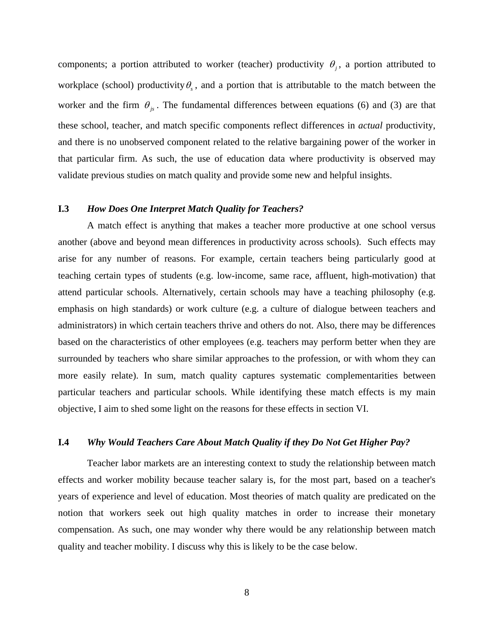components; a portion attributed to worker (teacher) productivity  $\theta_i$ , a portion attributed to workplace (school) productivity  $\theta_{\gamma}$ , and a portion that is attributable to the match between the worker and the firm  $\theta_{i}$ . The fundamental differences between equations (6) and (3) are that these school, teacher, and match specific components reflect differences in *actual* productivity, and there is no unobserved component related to the relative bargaining power of the worker in that particular firm. As such, the use of education data where productivity is observed may validate previous studies on match quality and provide some new and helpful insights.

## **I.3** *How Does One Interpret Match Quality for Teachers?*

A match effect is anything that makes a teacher more productive at one school versus another (above and beyond mean differences in productivity across schools). Such effects may arise for any number of reasons. For example, certain teachers being particularly good at teaching certain types of students (e.g. low-income, same race, affluent, high-motivation) that attend particular schools. Alternatively, certain schools may have a teaching philosophy (e.g. emphasis on high standards) or work culture (e.g. a culture of dialogue between teachers and administrators) in which certain teachers thrive and others do not. Also, there may be differences based on the characteristics of other employees (e.g. teachers may perform better when they are surrounded by teachers who share similar approaches to the profession, or with whom they can more easily relate). In sum, match quality captures systematic complementarities between particular teachers and particular schools. While identifying these match effects is my main objective, I aim to shed some light on the reasons for these effects in section VI.

#### **I.4** *Why Would Teachers Care About Match Quality if they Do Not Get Higher Pay?*

 Teacher labor markets are an interesting context to study the relationship between match effects and worker mobility because teacher salary is, for the most part, based on a teacher's years of experience and level of education. Most theories of match quality are predicated on the notion that workers seek out high quality matches in order to increase their monetary compensation. As such, one may wonder why there would be any relationship between match quality and teacher mobility. I discuss why this is likely to be the case below.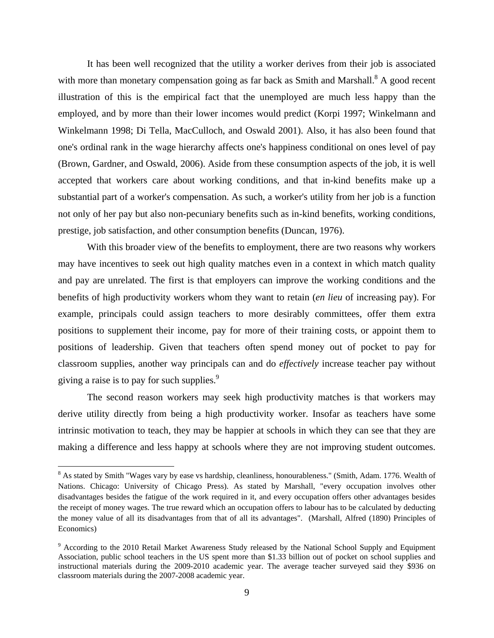It has been well recognized that the utility a worker derives from their job is associated with more than monetary compensation going as far back as Smith and Marshall.<sup>8</sup> A good recent illustration of this is the empirical fact that the unemployed are much less happy than the employed, and by more than their lower incomes would predict (Korpi 1997; Winkelmann and Winkelmann 1998; Di Tella, MacCulloch, and Oswald 2001). Also, it has also been found that one's ordinal rank in the wage hierarchy affects one's happiness conditional on ones level of pay (Brown, Gardner, and Oswald, 2006). Aside from these consumption aspects of the job, it is well accepted that workers care about working conditions, and that in-kind benefits make up a substantial part of a worker's compensation. As such, a worker's utility from her job is a function not only of her pay but also non-pecuniary benefits such as in-kind benefits, working conditions, prestige, job satisfaction, and other consumption benefits (Duncan, 1976).

 With this broader view of the benefits to employment, there are two reasons why workers may have incentives to seek out high quality matches even in a context in which match quality and pay are unrelated. The first is that employers can improve the working conditions and the benefits of high productivity workers whom they want to retain (*en lieu* of increasing pay). For example, principals could assign teachers to more desirably committees, offer them extra positions to supplement their income, pay for more of their training costs, or appoint them to positions of leadership. Given that teachers often spend money out of pocket to pay for classroom supplies, another way principals can and do *effectively* increase teacher pay without giving a raise is to pay for such supplies.<sup>9</sup>

 The second reason workers may seek high productivity matches is that workers may derive utility directly from being a high productivity worker. Insofar as teachers have some intrinsic motivation to teach, they may be happier at schools in which they can see that they are making a difference and less happy at schools where they are not improving student outcomes.

1

<sup>&</sup>lt;sup>8</sup> As stated by Smith "Wages vary by ease vs hardship, cleanliness, honourableness." (Smith, Adam. 1776. Wealth of Nations. Chicago: University of Chicago Press). As stated by Marshall, "every occupation involves other disadvantages besides the fatigue of the work required in it, and every occupation offers other advantages besides the receipt of money wages. The true reward which an occupation offers to labour has to be calculated by deducting the money value of all its disadvantages from that of all its advantages". (Marshall, Alfred (1890) Principles of Economics)

<sup>&</sup>lt;sup>9</sup> According to the 2010 Retail Market Awareness Study released by the National School Supply and Equipment Association, public school teachers in the US spent more than \$1.33 billion out of pocket on school supplies and instructional materials during the 2009-2010 academic year. The average teacher surveyed said they \$936 on classroom materials during the 2007-2008 academic year.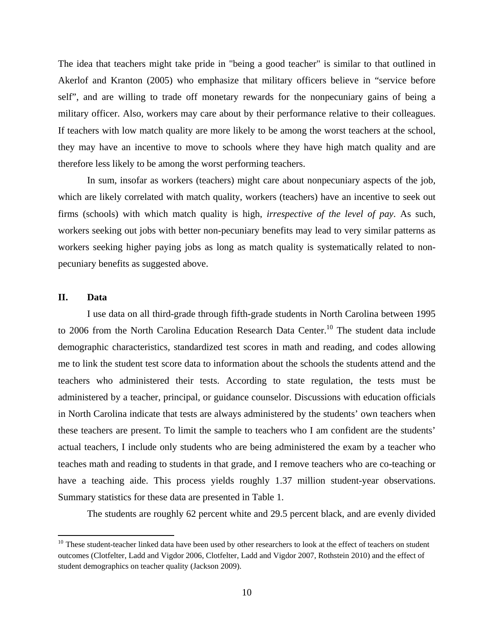The idea that teachers might take pride in "being a good teacher" is similar to that outlined in Akerlof and Kranton (2005) who emphasize that military officers believe in "service before self", and are willing to trade off monetary rewards for the nonpecuniary gains of being a military officer. Also, workers may care about by their performance relative to their colleagues. If teachers with low match quality are more likely to be among the worst teachers at the school, they may have an incentive to move to schools where they have high match quality and are therefore less likely to be among the worst performing teachers.

 In sum, insofar as workers (teachers) might care about nonpecuniary aspects of the job, which are likely correlated with match quality, workers (teachers) have an incentive to seek out firms (schools) with which match quality is high, *irrespective of the level of pay*. As such, workers seeking out jobs with better non-pecuniary benefits may lead to very similar patterns as workers seeking higher paying jobs as long as match quality is systematically related to nonpecuniary benefits as suggested above.

## **II. Data**

1

I use data on all third-grade through fifth-grade students in North Carolina between 1995 to 2006 from the North Carolina Education Research Data Center.<sup>10</sup> The student data include demographic characteristics, standardized test scores in math and reading, and codes allowing me to link the student test score data to information about the schools the students attend and the teachers who administered their tests. According to state regulation, the tests must be administered by a teacher, principal, or guidance counselor. Discussions with education officials in North Carolina indicate that tests are always administered by the students' own teachers when these teachers are present. To limit the sample to teachers who I am confident are the students' actual teachers, I include only students who are being administered the exam by a teacher who teaches math and reading to students in that grade, and I remove teachers who are co-teaching or have a teaching aide. This process yields roughly 1.37 million student-year observations. Summary statistics for these data are presented in Table 1.

The students are roughly 62 percent white and 29.5 percent black, and are evenly divided

 $10$  These student-teacher linked data have been used by other researchers to look at the effect of teachers on student outcomes (Clotfelter, Ladd and Vigdor 2006, Clotfelter, Ladd and Vigdor 2007, Rothstein 2010) and the effect of student demographics on teacher quality (Jackson 2009).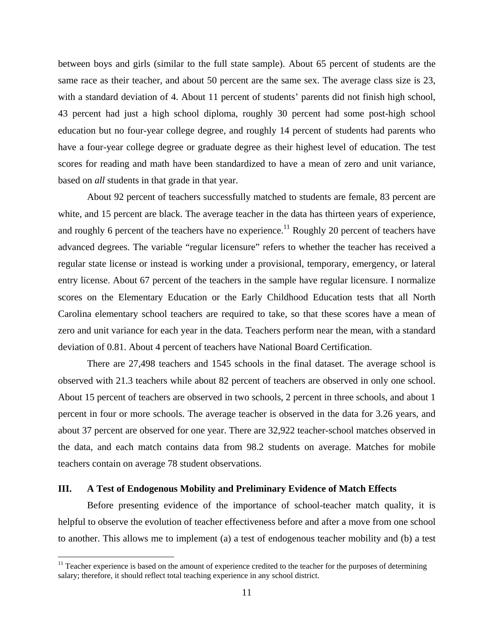between boys and girls (similar to the full state sample). About 65 percent of students are the same race as their teacher, and about 50 percent are the same sex. The average class size is 23, with a standard deviation of 4. About 11 percent of students' parents did not finish high school, 43 percent had just a high school diploma, roughly 30 percent had some post-high school education but no four-year college degree, and roughly 14 percent of students had parents who have a four-year college degree or graduate degree as their highest level of education. The test scores for reading and math have been standardized to have a mean of zero and unit variance, based on *all* students in that grade in that year.

About 92 percent of teachers successfully matched to students are female, 83 percent are white, and 15 percent are black. The average teacher in the data has thirteen years of experience, and roughly 6 percent of the teachers have no experience.<sup>11</sup> Roughly 20 percent of teachers have advanced degrees. The variable "regular licensure" refers to whether the teacher has received a regular state license or instead is working under a provisional, temporary, emergency, or lateral entry license. About 67 percent of the teachers in the sample have regular licensure. I normalize scores on the Elementary Education or the Early Childhood Education tests that all North Carolina elementary school teachers are required to take, so that these scores have a mean of zero and unit variance for each year in the data. Teachers perform near the mean, with a standard deviation of 0.81. About 4 percent of teachers have National Board Certification.

 There are 27,498 teachers and 1545 schools in the final dataset. The average school is observed with 21.3 teachers while about 82 percent of teachers are observed in only one school. About 15 percent of teachers are observed in two schools, 2 percent in three schools, and about 1 percent in four or more schools. The average teacher is observed in the data for 3.26 years, and about 37 percent are observed for one year. There are 32,922 teacher-school matches observed in the data, and each match contains data from 98.2 students on average. Matches for mobile teachers contain on average 78 student observations.

#### **III. A Test of Endogenous Mobility and Preliminary Evidence of Match Effects**

1

 Before presenting evidence of the importance of school-teacher match quality, it is helpful to observe the evolution of teacher effectiveness before and after a move from one school to another. This allows me to implement (a) a test of endogenous teacher mobility and (b) a test

<sup>&</sup>lt;sup>11</sup> Teacher experience is based on the amount of experience credited to the teacher for the purposes of determining salary; therefore, it should reflect total teaching experience in any school district.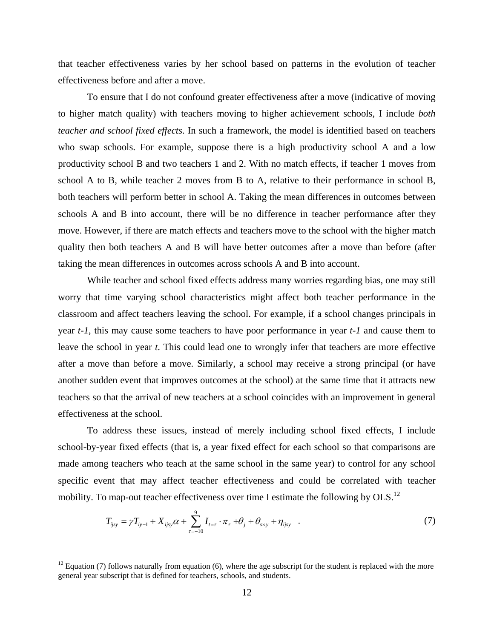that teacher effectiveness varies by her school based on patterns in the evolution of teacher effectiveness before and after a move.

 To ensure that I do not confound greater effectiveness after a move (indicative of moving to higher match quality) with teachers moving to higher achievement schools, I include *both teacher and school fixed effects*. In such a framework, the model is identified based on teachers who swap schools. For example, suppose there is a high productivity school A and a low productivity school B and two teachers 1 and 2. With no match effects, if teacher 1 moves from school A to B, while teacher 2 moves from B to A, relative to their performance in school B, both teachers will perform better in school A. Taking the mean differences in outcomes between schools A and B into account, there will be no difference in teacher performance after they move. However, if there are match effects and teachers move to the school with the higher match quality then both teachers A and B will have better outcomes after a move than before (after taking the mean differences in outcomes across schools A and B into account.

 While teacher and school fixed effects address many worries regarding bias, one may still worry that time varying school characteristics might affect both teacher performance in the classroom and affect teachers leaving the school. For example, if a school changes principals in year *t-1*, this may cause some teachers to have poor performance in year *t-1* and cause them to leave the school in year *t*. This could lead one to wrongly infer that teachers are more effective after a move than before a move. Similarly, a school may receive a strong principal (or have another sudden event that improves outcomes at the school) at the same time that it attracts new teachers so that the arrival of new teachers at a school coincides with an improvement in general effectiveness at the school.

 To address these issues, instead of merely including school fixed effects, I include school-by-year fixed effects (that is, a year fixed effect for each school so that comparisons are made among teachers who teach at the same school in the same year) to control for any school specific event that may affect teacher effectiveness and could be correlated with teacher mobility. To map-out teacher effectiveness over time I estimate the following by  $OLS$ .<sup>12</sup>

$$
T_{ijsy} = \gamma T_{iy-1} + X_{ijsy}\alpha + \sum_{\tau=-10}^{9} I_{t=\tau} \cdot \pi_{\tau} + \theta_j + \theta_{s \times y} + \eta_{ijsy} \quad . \tag{7}
$$

1

 $12$  Equation (7) follows naturally from equation (6), where the age subscript for the student is replaced with the more general year subscript that is defined for teachers, schools, and students.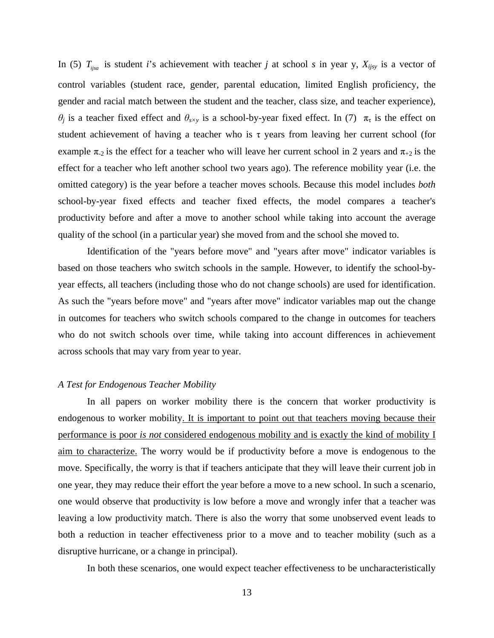In (5)  $T_{ijsa}$  is student *i*'s achievement with teacher *j* at school *s* in year y,  $X_{ijsy}$  is a vector of control variables (student race, gender, parental education, limited English proficiency, the gender and racial match between the student and the teacher, class size, and teacher experience), *θ<sub>j</sub>* is a teacher fixed effect and  $\theta_{s\times y}$  is a school-by-year fixed effect. In (7)  $\pi_{\tau}$  is the effect on student achievement of having a teacher who is  $\tau$  years from leaving her current school (for example  $\pi_{2}$  is the effect for a teacher who will leave her current school in 2 years and  $\pi_{+2}$  is the effect for a teacher who left another school two years ago). The reference mobility year (i.e. the omitted category) is the year before a teacher moves schools. Because this model includes *both* school-by-year fixed effects and teacher fixed effects, the model compares a teacher's productivity before and after a move to another school while taking into account the average quality of the school (in a particular year) she moved from and the school she moved to.

 Identification of the "years before move" and "years after move" indicator variables is based on those teachers who switch schools in the sample. However, to identify the school-byyear effects, all teachers (including those who do not change schools) are used for identification. As such the "years before move" and "years after move" indicator variables map out the change in outcomes for teachers who switch schools compared to the change in outcomes for teachers who do not switch schools over time, while taking into account differences in achievement across schools that may vary from year to year.

#### *A Test for Endogenous Teacher Mobility*

 In all papers on worker mobility there is the concern that worker productivity is endogenous to worker mobility. It is important to point out that teachers moving because their performance is poor *is not* considered endogenous mobility and is exactly the kind of mobility I aim to characterize. The worry would be if productivity before a move is endogenous to the move. Specifically, the worry is that if teachers anticipate that they will leave their current job in one year, they may reduce their effort the year before a move to a new school. In such a scenario, one would observe that productivity is low before a move and wrongly infer that a teacher was leaving a low productivity match. There is also the worry that some unobserved event leads to both a reduction in teacher effectiveness prior to a move and to teacher mobility (such as a disruptive hurricane, or a change in principal).

In both these scenarios, one would expect teacher effectiveness to be uncharacteristically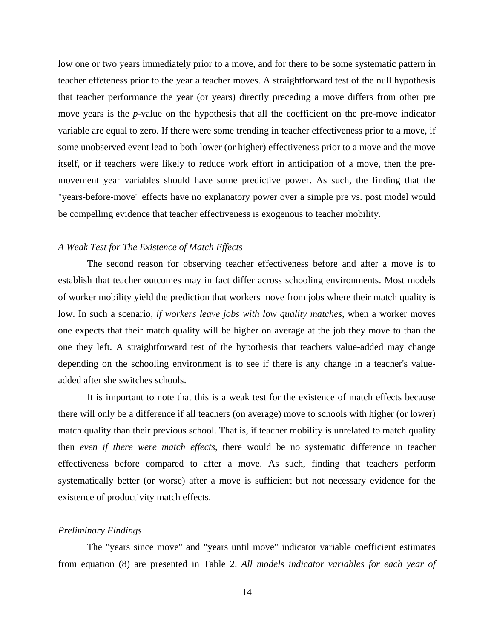low one or two years immediately prior to a move, and for there to be some systematic pattern in teacher effeteness prior to the year a teacher moves. A straightforward test of the null hypothesis that teacher performance the year (or years) directly preceding a move differs from other pre move years is the *p*-value on the hypothesis that all the coefficient on the pre-move indicator variable are equal to zero. If there were some trending in teacher effectiveness prior to a move, if some unobserved event lead to both lower (or higher) effectiveness prior to a move and the move itself, or if teachers were likely to reduce work effort in anticipation of a move, then the premovement year variables should have some predictive power. As such, the finding that the "years-before-move" effects have no explanatory power over a simple pre vs. post model would be compelling evidence that teacher effectiveness is exogenous to teacher mobility.

#### *A Weak Test for The Existence of Match Effects*

The second reason for observing teacher effectiveness before and after a move is to establish that teacher outcomes may in fact differ across schooling environments. Most models of worker mobility yield the prediction that workers move from jobs where their match quality is low. In such a scenario, *if workers leave jobs with low quality matches*, when a worker moves one expects that their match quality will be higher on average at the job they move to than the one they left. A straightforward test of the hypothesis that teachers value-added may change depending on the schooling environment is to see if there is any change in a teacher's valueadded after she switches schools.

 It is important to note that this is a weak test for the existence of match effects because there will only be a difference if all teachers (on average) move to schools with higher (or lower) match quality than their previous school. That is, if teacher mobility is unrelated to match quality then *even if there were match effects*, there would be no systematic difference in teacher effectiveness before compared to after a move. As such, finding that teachers perform systematically better (or worse) after a move is sufficient but not necessary evidence for the existence of productivity match effects.

#### *Preliminary Findings*

The "years since move" and "years until move" indicator variable coefficient estimates from equation (8) are presented in Table 2. *All models indicator variables for each year of*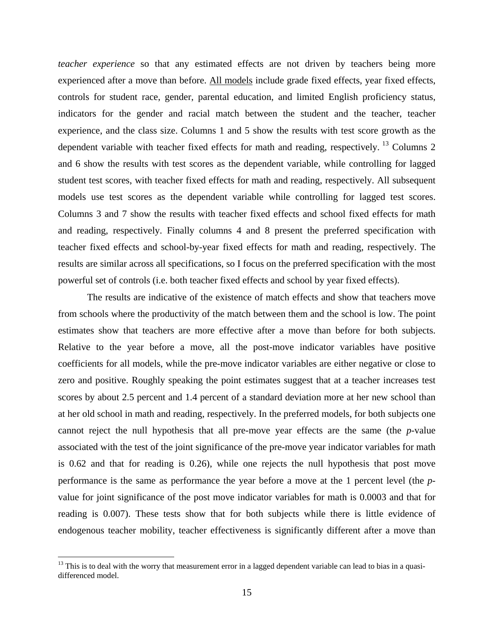*teacher experience* so that any estimated effects are not driven by teachers being more experienced after a move than before. All models include grade fixed effects, year fixed effects, controls for student race, gender, parental education, and limited English proficiency status, indicators for the gender and racial match between the student and the teacher, teacher experience, and the class size. Columns 1 and 5 show the results with test score growth as the dependent variable with teacher fixed effects for math and reading, respectively. <sup>13</sup> Columns 2 and 6 show the results with test scores as the dependent variable, while controlling for lagged student test scores, with teacher fixed effects for math and reading, respectively. All subsequent models use test scores as the dependent variable while controlling for lagged test scores. Columns 3 and 7 show the results with teacher fixed effects and school fixed effects for math and reading, respectively. Finally columns 4 and 8 present the preferred specification with teacher fixed effects and school-by-year fixed effects for math and reading, respectively. The results are similar across all specifications, so I focus on the preferred specification with the most powerful set of controls (i.e. both teacher fixed effects and school by year fixed effects).

 The results are indicative of the existence of match effects and show that teachers move from schools where the productivity of the match between them and the school is low. The point estimates show that teachers are more effective after a move than before for both subjects. Relative to the year before a move, all the post-move indicator variables have positive coefficients for all models, while the pre-move indicator variables are either negative or close to zero and positive. Roughly speaking the point estimates suggest that at a teacher increases test scores by about 2.5 percent and 1.4 percent of a standard deviation more at her new school than at her old school in math and reading, respectively. In the preferred models, for both subjects one cannot reject the null hypothesis that all pre-move year effects are the same (the *p*-value associated with the test of the joint significance of the pre-move year indicator variables for math is 0.62 and that for reading is 0.26), while one rejects the null hypothesis that post move performance is the same as performance the year before a move at the 1 percent level (the *p*value for joint significance of the post move indicator variables for math is 0.0003 and that for reading is 0.007). These tests show that for both subjects while there is little evidence of endogenous teacher mobility, teacher effectiveness is significantly different after a move than

 $\overline{a}$ 

<sup>&</sup>lt;sup>13</sup> This is to deal with the worry that measurement error in a lagged dependent variable can lead to bias in a quasidifferenced model.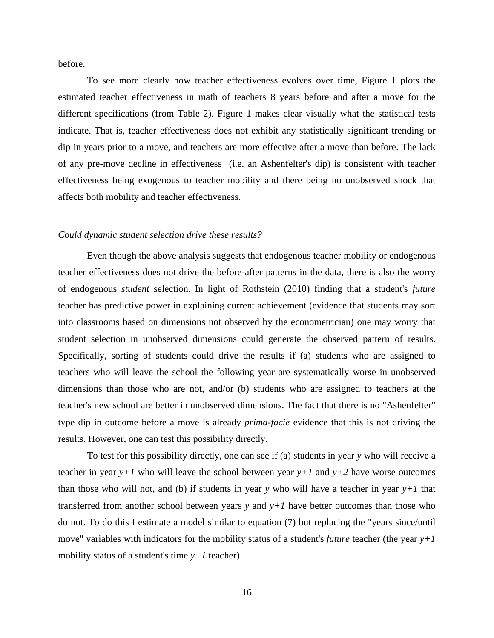before.

 To see more clearly how teacher effectiveness evolves over time, Figure 1 plots the estimated teacher effectiveness in math of teachers 8 years before and after a move for the different specifications (from Table 2). Figure 1 makes clear visually what the statistical tests indicate. That is, teacher effectiveness does not exhibit any statistically significant trending or dip in years prior to a move, and teachers are more effective after a move than before. The lack of any pre-move decline in effectiveness (i.e. an Ashenfelter's dip) is consistent with teacher effectiveness being exogenous to teacher mobility and there being no unobserved shock that affects both mobility and teacher effectiveness.

#### *Could dynamic student selection drive these results?*

 Even though the above analysis suggests that endogenous teacher mobility or endogenous teacher effectiveness does not drive the before-after patterns in the data, there is also the worry of endogenous *student* selection. In light of Rothstein (2010) finding that a student's *future* teacher has predictive power in explaining current achievement (evidence that students may sort into classrooms based on dimensions not observed by the econometrician) one may worry that student selection in unobserved dimensions could generate the observed pattern of results. Specifically, sorting of students could drive the results if (a) students who are assigned to teachers who will leave the school the following year are systematically worse in unobserved dimensions than those who are not, and/or (b) students who are assigned to teachers at the teacher's new school are better in unobserved dimensions. The fact that there is no "Ashenfelter" type dip in outcome before a move is already *prima-facie* evidence that this is not driving the results. However, one can test this possibility directly.

 To test for this possibility directly, one can see if (a) students in year *y* who will receive a teacher in year  $y+1$  who will leave the school between year  $y+1$  and  $y+2$  have worse outcomes than those who will not, and (b) if students in year *y* who will have a teacher in year  $y+1$  that transferred from another school between years  $y$  and  $y+1$  have better outcomes than those who do not. To do this I estimate a model similar to equation (7) but replacing the "years since/until move" variables with indicators for the mobility status of a student's *future* teacher (the year *y+1* mobility status of a student's time  $y+1$  teacher).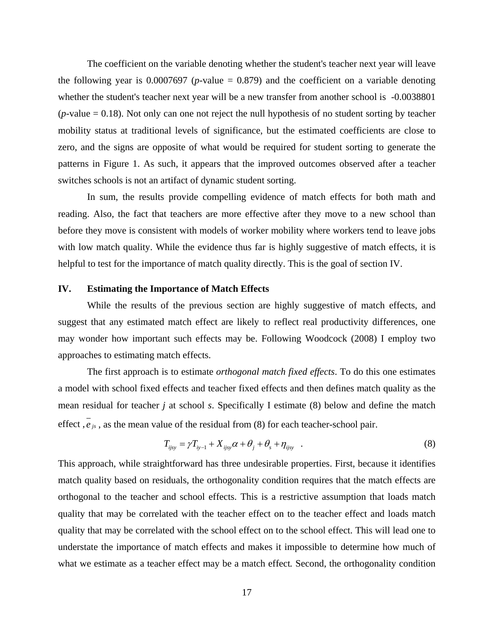The coefficient on the variable denoting whether the student's teacher next year will leave the following year is  $0.0007697$  (*p*-value = 0.879) and the coefficient on a variable denoting whether the student's teacher next year will be a new transfer from another school is -0.0038801  $(p$ -value  $= 0.18$ ). Not only can one not reject the null hypothesis of no student sorting by teacher mobility status at traditional levels of significance, but the estimated coefficients are close to zero, and the signs are opposite of what would be required for student sorting to generate the patterns in Figure 1. As such, it appears that the improved outcomes observed after a teacher switches schools is not an artifact of dynamic student sorting.

 In sum, the results provide compelling evidence of match effects for both math and reading. Also, the fact that teachers are more effective after they move to a new school than before they move is consistent with models of worker mobility where workers tend to leave jobs with low match quality. While the evidence thus far is highly suggestive of match effects, it is helpful to test for the importance of match quality directly. This is the goal of section IV.

#### **IV. Estimating the Importance of Match Effects**

While the results of the previous section are highly suggestive of match effects, and suggest that any estimated match effect are likely to reflect real productivity differences, one may wonder how important such effects may be. Following Woodcock (2008) I employ two approaches to estimating match effects.

 The first approach is to estimate *orthogonal match fixed effects*. To do this one estimates a model with school fixed effects and teacher fixed effects and then defines match quality as the mean residual for teacher *j* at school *s*. Specifically I estimate (8) below and define the match effect  $\overline{e}_{is}$ , as the mean value of the residual from (8) for each teacher-school pair.

$$
T_{ijsy} = \gamma T_{iy-1} + X_{ijsy}\alpha + \theta_j + \theta_s + \eta_{ijsy} \quad . \tag{8}
$$

This approach, while straightforward has three undesirable properties. First, because it identifies match quality based on residuals, the orthogonality condition requires that the match effects are orthogonal to the teacher and school effects. This is a restrictive assumption that loads match quality that may be correlated with the teacher effect on to the teacher effect and loads match quality that may be correlated with the school effect on to the school effect. This will lead one to understate the importance of match effects and makes it impossible to determine how much of what we estimate as a teacher effect may be a match effect. Second, the orthogonality condition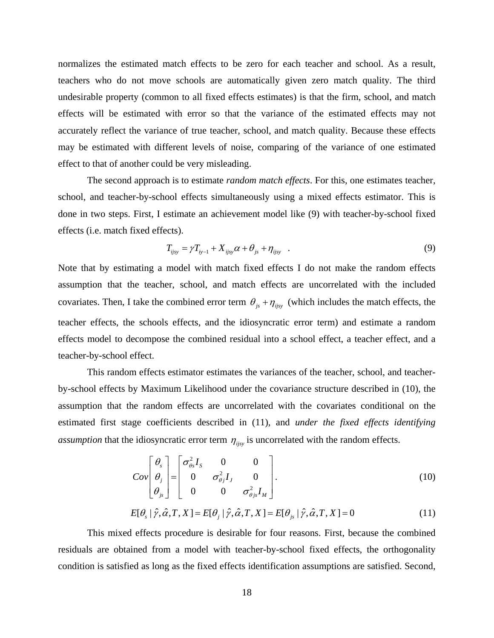normalizes the estimated match effects to be zero for each teacher and school. As a result, teachers who do not move schools are automatically given zero match quality. The third undesirable property (common to all fixed effects estimates) is that the firm, school, and match effects will be estimated with error so that the variance of the estimated effects may not accurately reflect the variance of true teacher, school, and match quality. Because these effects may be estimated with different levels of noise, comparing of the variance of one estimated effect to that of another could be very misleading.

 The second approach is to estimate *random match effects*. For this, one estimates teacher, school, and teacher-by-school effects simultaneously using a mixed effects estimator. This is done in two steps. First, I estimate an achievement model like (9) with teacher-by-school fixed effects (i.e. match fixed effects).

$$
T_{ijsy} = \gamma T_{iy-1} + X_{ijsy}\alpha + \theta_{js} + \eta_{ijsy} \quad . \tag{9}
$$

Note that by estimating a model with match fixed effects I do not make the random effects assumption that the teacher, school, and match effects are uncorrelated with the included covariates. Then, I take the combined error term  $\theta_{js} + \eta_{ijsy}$  (which includes the match effects, the teacher effects, the schools effects, and the idiosyncratic error term) and estimate a random effects model to decompose the combined residual into a school effect, a teacher effect, and a teacher-by-school effect.

 This random effects estimator estimates the variances of the teacher, school, and teacherby-school effects by Maximum Likelihood under the covariance structure described in (10), the assumption that the random effects are uncorrelated with the covariates conditional on the estimated first stage coefficients described in (11), and *under the fixed effects identifying assumption* that the idiosyncratic error term  $\eta_{i}$  is uncorrelated with the random effects.

$$
Cov\begin{bmatrix} \theta_s \\ \theta_j \\ \theta_{js} \end{bmatrix} = \begin{bmatrix} \sigma_{\theta_s}^2 I_s & 0 & 0 \\ 0 & \sigma_{\theta_j}^2 I_j & 0 \\ 0 & 0 & \sigma_{\theta_j s}^2 I_M \end{bmatrix}.
$$
 (10)

$$
E[\theta_{s} | \hat{\gamma}, \hat{\alpha}, T, X] = E[\theta_{j} | \hat{\gamma}, \hat{\alpha}, T, X] = E[\theta_{j_{s}} | \hat{\gamma}, \hat{\alpha}, T, X] = 0
$$
\n(11)

 This mixed effects procedure is desirable for four reasons. First, because the combined residuals are obtained from a model with teacher-by-school fixed effects, the orthogonality condition is satisfied as long as the fixed effects identification assumptions are satisfied. Second,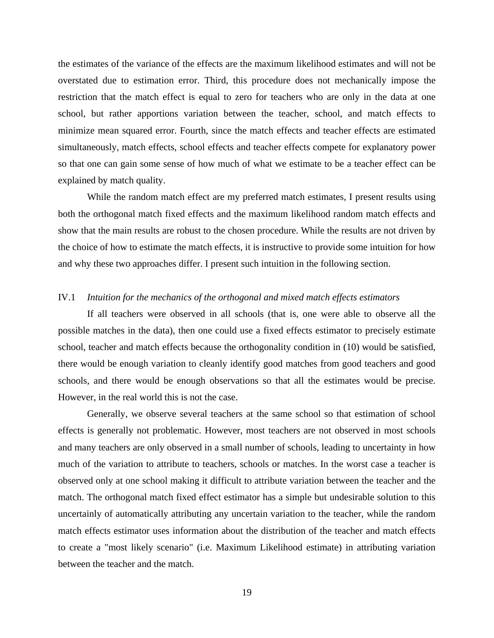the estimates of the variance of the effects are the maximum likelihood estimates and will not be overstated due to estimation error. Third, this procedure does not mechanically impose the restriction that the match effect is equal to zero for teachers who are only in the data at one school, but rather apportions variation between the teacher, school, and match effects to minimize mean squared error. Fourth, since the match effects and teacher effects are estimated simultaneously, match effects, school effects and teacher effects compete for explanatory power so that one can gain some sense of how much of what we estimate to be a teacher effect can be explained by match quality.

 While the random match effect are my preferred match estimates, I present results using both the orthogonal match fixed effects and the maximum likelihood random match effects and show that the main results are robust to the chosen procedure. While the results are not driven by the choice of how to estimate the match effects, it is instructive to provide some intuition for how and why these two approaches differ. I present such intuition in the following section.

## IV.1 *Intuition for the mechanics of the orthogonal and mixed match effects estimators*

 If all teachers were observed in all schools (that is, one were able to observe all the possible matches in the data), then one could use a fixed effects estimator to precisely estimate school, teacher and match effects because the orthogonality condition in (10) would be satisfied, there would be enough variation to cleanly identify good matches from good teachers and good schools, and there would be enough observations so that all the estimates would be precise. However, in the real world this is not the case.

 Generally, we observe several teachers at the same school so that estimation of school effects is generally not problematic. However, most teachers are not observed in most schools and many teachers are only observed in a small number of schools, leading to uncertainty in how much of the variation to attribute to teachers, schools or matches. In the worst case a teacher is observed only at one school making it difficult to attribute variation between the teacher and the match. The orthogonal match fixed effect estimator has a simple but undesirable solution to this uncertainly of automatically attributing any uncertain variation to the teacher, while the random match effects estimator uses information about the distribution of the teacher and match effects to create a "most likely scenario" (i.e. Maximum Likelihood estimate) in attributing variation between the teacher and the match.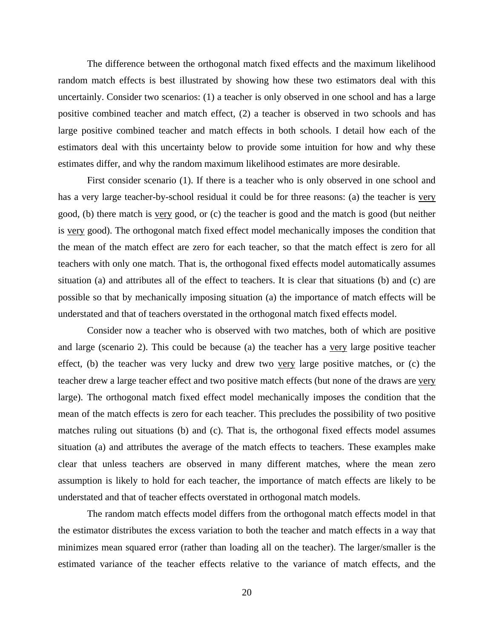The difference between the orthogonal match fixed effects and the maximum likelihood random match effects is best illustrated by showing how these two estimators deal with this uncertainly. Consider two scenarios: (1) a teacher is only observed in one school and has a large positive combined teacher and match effect, (2) a teacher is observed in two schools and has large positive combined teacher and match effects in both schools. I detail how each of the estimators deal with this uncertainty below to provide some intuition for how and why these estimates differ, and why the random maximum likelihood estimates are more desirable.

 First consider scenario (1). If there is a teacher who is only observed in one school and has a very large teacher-by-school residual it could be for three reasons: (a) the teacher is very good, (b) there match is very good, or (c) the teacher is good and the match is good (but neither is very good). The orthogonal match fixed effect model mechanically imposes the condition that the mean of the match effect are zero for each teacher, so that the match effect is zero for all teachers with only one match. That is, the orthogonal fixed effects model automatically assumes situation (a) and attributes all of the effect to teachers. It is clear that situations (b) and (c) are possible so that by mechanically imposing situation (a) the importance of match effects will be understated and that of teachers overstated in the orthogonal match fixed effects model.

 Consider now a teacher who is observed with two matches, both of which are positive and large (scenario 2). This could be because (a) the teacher has a very large positive teacher effect, (b) the teacher was very lucky and drew two very large positive matches, or (c) the teacher drew a large teacher effect and two positive match effects (but none of the draws are very large). The orthogonal match fixed effect model mechanically imposes the condition that the mean of the match effects is zero for each teacher. This precludes the possibility of two positive matches ruling out situations (b) and (c). That is, the orthogonal fixed effects model assumes situation (a) and attributes the average of the match effects to teachers. These examples make clear that unless teachers are observed in many different matches, where the mean zero assumption is likely to hold for each teacher, the importance of match effects are likely to be understated and that of teacher effects overstated in orthogonal match models.

 The random match effects model differs from the orthogonal match effects model in that the estimator distributes the excess variation to both the teacher and match effects in a way that minimizes mean squared error (rather than loading all on the teacher). The larger/smaller is the estimated variance of the teacher effects relative to the variance of match effects, and the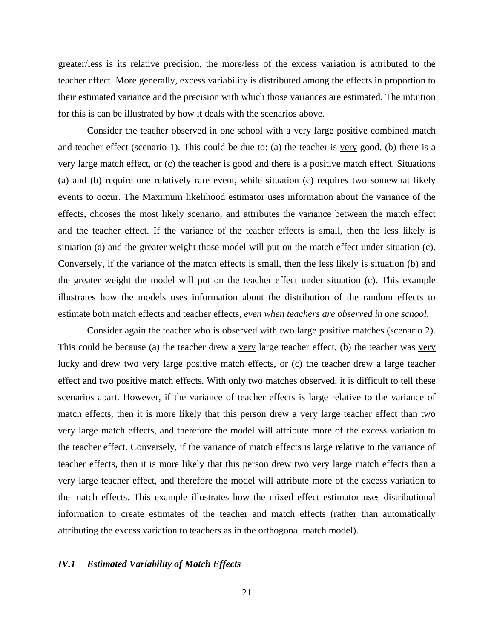greater/less is its relative precision, the more/less of the excess variation is attributed to the teacher effect. More generally, excess variability is distributed among the effects in proportion to their estimated variance and the precision with which those variances are estimated. The intuition for this is can be illustrated by how it deals with the scenarios above.

 Consider the teacher observed in one school with a very large positive combined match and teacher effect (scenario 1). This could be due to: (a) the teacher is very good, (b) there is a very large match effect, or (c) the teacher is good and there is a positive match effect. Situations (a) and (b) require one relatively rare event, while situation (c) requires two somewhat likely events to occur. The Maximum likelihood estimator uses information about the variance of the effects, chooses the most likely scenario, and attributes the variance between the match effect and the teacher effect. If the variance of the teacher effects is small, then the less likely is situation (a) and the greater weight those model will put on the match effect under situation (c). Conversely, if the variance of the match effects is small, then the less likely is situation (b) and the greater weight the model will put on the teacher effect under situation (c). This example illustrates how the models uses information about the distribution of the random effects to estimate both match effects and teacher effects, *even when teachers are observed in one school*.

 Consider again the teacher who is observed with two large positive matches (scenario 2). This could be because (a) the teacher drew a very large teacher effect, (b) the teacher was very lucky and drew two very large positive match effects, or (c) the teacher drew a large teacher effect and two positive match effects. With only two matches observed, it is difficult to tell these scenarios apart. However, if the variance of teacher effects is large relative to the variance of match effects, then it is more likely that this person drew a very large teacher effect than two very large match effects, and therefore the model will attribute more of the excess variation to the teacher effect. Conversely, if the variance of match effects is large relative to the variance of teacher effects, then it is more likely that this person drew two very large match effects than a very large teacher effect, and therefore the model will attribute more of the excess variation to the match effects. This example illustrates how the mixed effect estimator uses distributional information to create estimates of the teacher and match effects (rather than automatically attributing the excess variation to teachers as in the orthogonal match model).

#### *IV.1 Estimated Variability of Match Effects*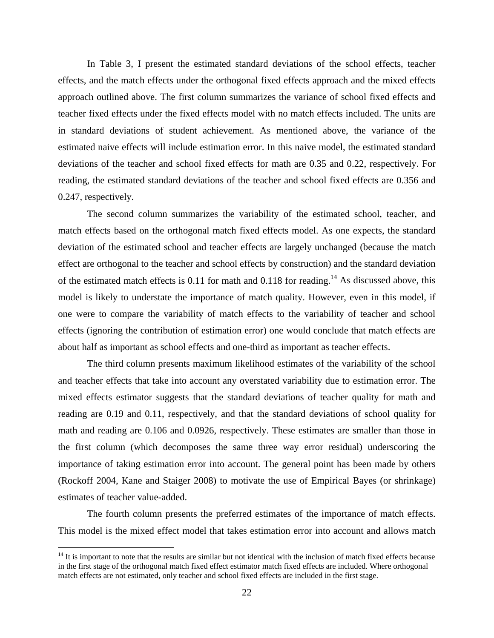In Table 3, I present the estimated standard deviations of the school effects, teacher effects, and the match effects under the orthogonal fixed effects approach and the mixed effects approach outlined above. The first column summarizes the variance of school fixed effects and teacher fixed effects under the fixed effects model with no match effects included. The units are in standard deviations of student achievement. As mentioned above, the variance of the estimated naive effects will include estimation error. In this naive model, the estimated standard deviations of the teacher and school fixed effects for math are 0.35 and 0.22, respectively. For reading, the estimated standard deviations of the teacher and school fixed effects are 0.356 and 0.247, respectively.

 The second column summarizes the variability of the estimated school, teacher, and match effects based on the orthogonal match fixed effects model. As one expects, the standard deviation of the estimated school and teacher effects are largely unchanged (because the match effect are orthogonal to the teacher and school effects by construction) and the standard deviation of the estimated match effects is 0.11 for math and 0.118 for reading.<sup>14</sup> As discussed above, this model is likely to understate the importance of match quality. However, even in this model, if one were to compare the variability of match effects to the variability of teacher and school effects (ignoring the contribution of estimation error) one would conclude that match effects are about half as important as school effects and one-third as important as teacher effects.

 The third column presents maximum likelihood estimates of the variability of the school and teacher effects that take into account any overstated variability due to estimation error. The mixed effects estimator suggests that the standard deviations of teacher quality for math and reading are 0.19 and 0.11, respectively, and that the standard deviations of school quality for math and reading are 0.106 and 0.0926, respectively. These estimates are smaller than those in the first column (which decomposes the same three way error residual) underscoring the importance of taking estimation error into account. The general point has been made by others (Rockoff 2004, Kane and Staiger 2008) to motivate the use of Empirical Bayes (or shrinkage) estimates of teacher value-added.

 The fourth column presents the preferred estimates of the importance of match effects. This model is the mixed effect model that takes estimation error into account and allows match

<u>.</u>

 $14$  It is important to note that the results are similar but not identical with the inclusion of match fixed effects because in the first stage of the orthogonal match fixed effect estimator match fixed effects are included. Where orthogonal match effects are not estimated, only teacher and school fixed effects are included in the first stage.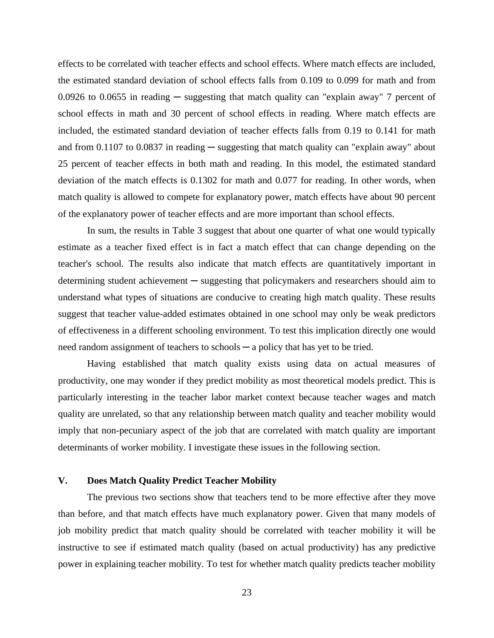effects to be correlated with teacher effects and school effects. Where match effects are included, the estimated standard deviation of school effects falls from 0.109 to 0.099 for math and from 0.0926 to 0.0655 in reading  $-$  suggesting that match quality can "explain away" 7 percent of school effects in math and 30 percent of school effects in reading. Where match effects are included, the estimated standard deviation of teacher effects falls from 0.19 to 0.141 for math and from  $0.1107$  to  $0.0837$  in reading  $-$  suggesting that match quality can "explain away" about 25 percent of teacher effects in both math and reading. In this model, the estimated standard deviation of the match effects is 0.1302 for math and 0.077 for reading. In other words, when match quality is allowed to compete for explanatory power, match effects have about 90 percent of the explanatory power of teacher effects and are more important than school effects.

 In sum, the results in Table 3 suggest that about one quarter of what one would typically estimate as a teacher fixed effect is in fact a match effect that can change depending on the teacher's school. The results also indicate that match effects are quantitatively important in determining student achievement ─ suggesting that policymakers and researchers should aim to understand what types of situations are conducive to creating high match quality. These results suggest that teacher value-added estimates obtained in one school may only be weak predictors of effectiveness in a different schooling environment. To test this implication directly one would need random assignment of teachers to schools — a policy that has yet to be tried.

 Having established that match quality exists using data on actual measures of productivity, one may wonder if they predict mobility as most theoretical models predict. This is particularly interesting in the teacher labor market context because teacher wages and match quality are unrelated, so that any relationship between match quality and teacher mobility would imply that non-pecuniary aspect of the job that are correlated with match quality are important determinants of worker mobility. I investigate these issues in the following section.

## **V. Does Match Quality Predict Teacher Mobility**

 The previous two sections show that teachers tend to be more effective after they move than before, and that match effects have much explanatory power. Given that many models of job mobility predict that match quality should be correlated with teacher mobility it will be instructive to see if estimated match quality (based on actual productivity) has any predictive power in explaining teacher mobility. To test for whether match quality predicts teacher mobility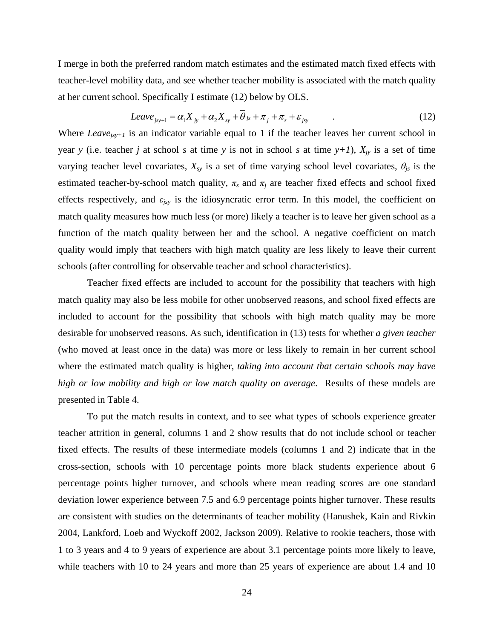I merge in both the preferred random match estimates and the estimated match fixed effects with teacher-level mobility data, and see whether teacher mobility is associated with the match quality at her current school. Specifically I estimate (12) below by OLS.

$$
Leave_{j_{sy+1}} = \alpha_1 X_{j_y} + \alpha_2 X_{sy} + \overline{\theta}_{j_s} + \pi_j + \pi_s + \varepsilon_{j_{sy}} \tag{12}
$$

Where *Leave<sub>isy+1</sub>* is an indicator variable equal to 1 if the teacher leaves her current school in year *y* (i.e. teacher *j* at school *s* at time *y* is not in school *s* at time  $y+1$ ),  $X_{jy}$  is a set of time varying teacher level covariates,  $X_{sy}$  is a set of time varying school level covariates,  $\theta_{js}$  is the estimated teacher-by-school match quality,  $\pi_s$  and  $\pi_j$  are teacher fixed effects and school fixed effects respectively, and *εjsy* is the idiosyncratic error term. In this model, the coefficient on match quality measures how much less (or more) likely a teacher is to leave her given school as a function of the match quality between her and the school. A negative coefficient on match quality would imply that teachers with high match quality are less likely to leave their current schools (after controlling for observable teacher and school characteristics).

 Teacher fixed effects are included to account for the possibility that teachers with high match quality may also be less mobile for other unobserved reasons, and school fixed effects are included to account for the possibility that schools with high match quality may be more desirable for unobserved reasons. As such, identification in (13) tests for whether *a given teacher*  (who moved at least once in the data) was more or less likely to remain in her current school where the estimated match quality is higher, *taking into account that certain schools may have high or low mobility and high or low match quality on average*. Results of these models are presented in Table 4.

 To put the match results in context, and to see what types of schools experience greater teacher attrition in general, columns 1 and 2 show results that do not include school or teacher fixed effects. The results of these intermediate models (columns 1 and 2) indicate that in the cross-section, schools with 10 percentage points more black students experience about 6 percentage points higher turnover, and schools where mean reading scores are one standard deviation lower experience between 7.5 and 6.9 percentage points higher turnover. These results are consistent with studies on the determinants of teacher mobility (Hanushek, Kain and Rivkin 2004, Lankford, Loeb and Wyckoff 2002, Jackson 2009). Relative to rookie teachers, those with 1 to 3 years and 4 to 9 years of experience are about 3.1 percentage points more likely to leave, while teachers with 10 to 24 years and more than 25 years of experience are about 1.4 and 10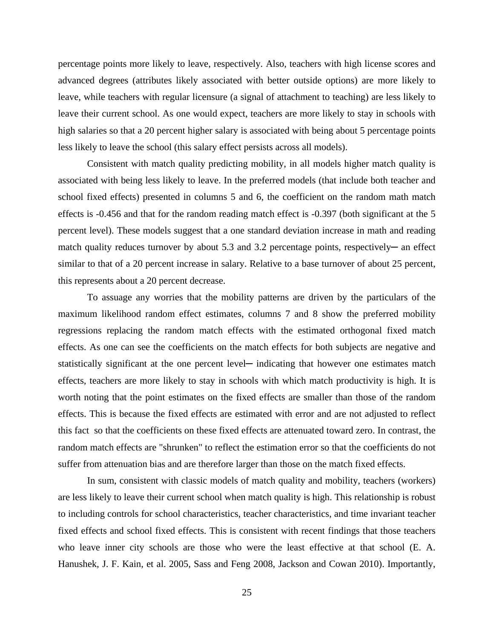percentage points more likely to leave, respectively. Also, teachers with high license scores and advanced degrees (attributes likely associated with better outside options) are more likely to leave, while teachers with regular licensure (a signal of attachment to teaching) are less likely to leave their current school. As one would expect, teachers are more likely to stay in schools with high salaries so that a 20 percent higher salary is associated with being about 5 percentage points less likely to leave the school (this salary effect persists across all models).

 Consistent with match quality predicting mobility, in all models higher match quality is associated with being less likely to leave. In the preferred models (that include both teacher and school fixed effects) presented in columns 5 and 6, the coefficient on the random math match effects is -0.456 and that for the random reading match effect is -0.397 (both significant at the 5 percent level). These models suggest that a one standard deviation increase in math and reading match quality reduces turnover by about 5.3 and 3.2 percentage points, respectively— an effect similar to that of a 20 percent increase in salary. Relative to a base turnover of about 25 percent, this represents about a 20 percent decrease.

 To assuage any worries that the mobility patterns are driven by the particulars of the maximum likelihood random effect estimates, columns 7 and 8 show the preferred mobility regressions replacing the random match effects with the estimated orthogonal fixed match effects. As one can see the coefficients on the match effects for both subjects are negative and statistically significant at the one percent level— indicating that however one estimates match effects, teachers are more likely to stay in schools with which match productivity is high. It is worth noting that the point estimates on the fixed effects are smaller than those of the random effects. This is because the fixed effects are estimated with error and are not adjusted to reflect this fact so that the coefficients on these fixed effects are attenuated toward zero. In contrast, the random match effects are "shrunken" to reflect the estimation error so that the coefficients do not suffer from attenuation bias and are therefore larger than those on the match fixed effects.

 In sum, consistent with classic models of match quality and mobility, teachers (workers) are less likely to leave their current school when match quality is high. This relationship is robust to including controls for school characteristics, teacher characteristics, and time invariant teacher fixed effects and school fixed effects. This is consistent with recent findings that those teachers who leave inner city schools are those who were the least effective at that school (E. A. Hanushek, J. F. Kain, et al. 2005, Sass and Feng 2008, Jackson and Cowan 2010). Importantly,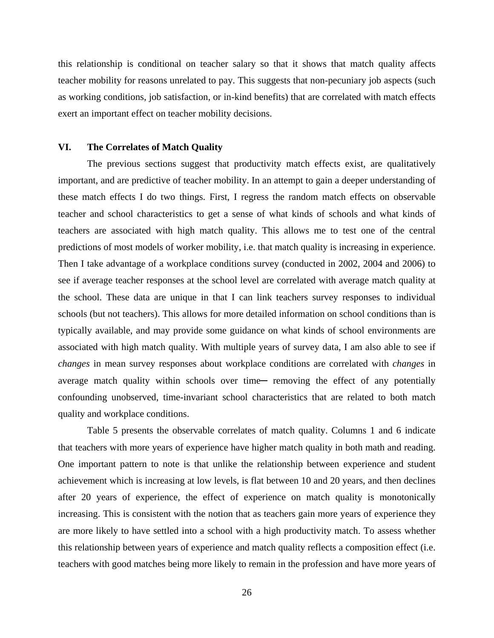this relationship is conditional on teacher salary so that it shows that match quality affects teacher mobility for reasons unrelated to pay. This suggests that non-pecuniary job aspects (such as working conditions, job satisfaction, or in-kind benefits) that are correlated with match effects exert an important effect on teacher mobility decisions.

#### **VI. The Correlates of Match Quality**

 The previous sections suggest that productivity match effects exist, are qualitatively important, and are predictive of teacher mobility. In an attempt to gain a deeper understanding of these match effects I do two things. First, I regress the random match effects on observable teacher and school characteristics to get a sense of what kinds of schools and what kinds of teachers are associated with high match quality. This allows me to test one of the central predictions of most models of worker mobility, i.e. that match quality is increasing in experience. Then I take advantage of a workplace conditions survey (conducted in 2002, 2004 and 2006) to see if average teacher responses at the school level are correlated with average match quality at the school. These data are unique in that I can link teachers survey responses to individual schools (but not teachers). This allows for more detailed information on school conditions than is typically available, and may provide some guidance on what kinds of school environments are associated with high match quality. With multiple years of survey data, I am also able to see if *changes* in mean survey responses about workplace conditions are correlated with *changes* in average match quality within schools over time- removing the effect of any potentially confounding unobserved, time-invariant school characteristics that are related to both match quality and workplace conditions.

 Table 5 presents the observable correlates of match quality. Columns 1 and 6 indicate that teachers with more years of experience have higher match quality in both math and reading. One important pattern to note is that unlike the relationship between experience and student achievement which is increasing at low levels, is flat between 10 and 20 years, and then declines after 20 years of experience, the effect of experience on match quality is monotonically increasing. This is consistent with the notion that as teachers gain more years of experience they are more likely to have settled into a school with a high productivity match. To assess whether this relationship between years of experience and match quality reflects a composition effect (i.e. teachers with good matches being more likely to remain in the profession and have more years of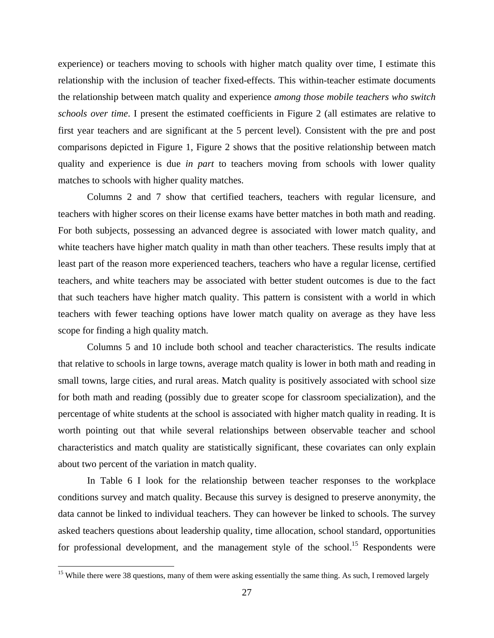experience) or teachers moving to schools with higher match quality over time, I estimate this relationship with the inclusion of teacher fixed-effects. This within-teacher estimate documents the relationship between match quality and experience *among those mobile teachers who switch schools over time*. I present the estimated coefficients in Figure 2 (all estimates are relative to first year teachers and are significant at the 5 percent level). Consistent with the pre and post comparisons depicted in Figure 1, Figure 2 shows that the positive relationship between match quality and experience is due *in part* to teachers moving from schools with lower quality matches to schools with higher quality matches.

 Columns 2 and 7 show that certified teachers, teachers with regular licensure, and teachers with higher scores on their license exams have better matches in both math and reading. For both subjects, possessing an advanced degree is associated with lower match quality, and white teachers have higher match quality in math than other teachers. These results imply that at least part of the reason more experienced teachers, teachers who have a regular license, certified teachers, and white teachers may be associated with better student outcomes is due to the fact that such teachers have higher match quality. This pattern is consistent with a world in which teachers with fewer teaching options have lower match quality on average as they have less scope for finding a high quality match.

 Columns 5 and 10 include both school and teacher characteristics. The results indicate that relative to schools in large towns, average match quality is lower in both math and reading in small towns, large cities, and rural areas. Match quality is positively associated with school size for both math and reading (possibly due to greater scope for classroom specialization), and the percentage of white students at the school is associated with higher match quality in reading. It is worth pointing out that while several relationships between observable teacher and school characteristics and match quality are statistically significant, these covariates can only explain about two percent of the variation in match quality.

 In Table 6 I look for the relationship between teacher responses to the workplace conditions survey and match quality. Because this survey is designed to preserve anonymity, the data cannot be linked to individual teachers. They can however be linked to schools. The survey asked teachers questions about leadership quality, time allocation, school standard, opportunities for professional development, and the management style of the school.<sup>15</sup> Respondents were

<u>.</u>

<sup>&</sup>lt;sup>15</sup> While there were 38 questions, many of them were asking essentially the same thing. As such, I removed largely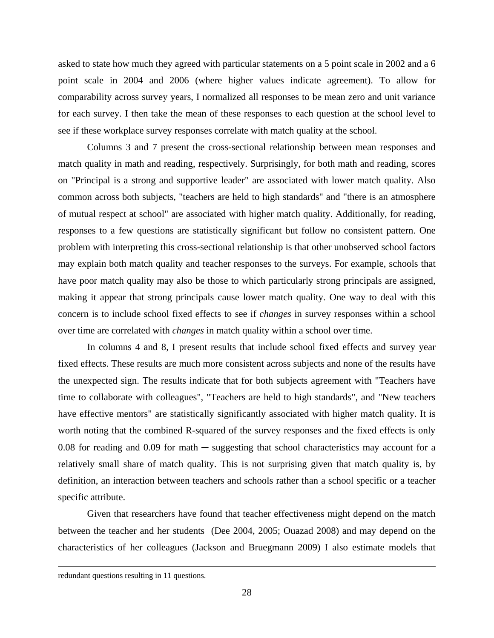asked to state how much they agreed with particular statements on a 5 point scale in 2002 and a 6 point scale in 2004 and 2006 (where higher values indicate agreement). To allow for comparability across survey years, I normalized all responses to be mean zero and unit variance for each survey. I then take the mean of these responses to each question at the school level to see if these workplace survey responses correlate with match quality at the school.

 Columns 3 and 7 present the cross-sectional relationship between mean responses and match quality in math and reading, respectively. Surprisingly, for both math and reading, scores on "Principal is a strong and supportive leader" are associated with lower match quality. Also common across both subjects, "teachers are held to high standards" and "there is an atmosphere of mutual respect at school" are associated with higher match quality. Additionally, for reading, responses to a few questions are statistically significant but follow no consistent pattern. One problem with interpreting this cross-sectional relationship is that other unobserved school factors may explain both match quality and teacher responses to the surveys. For example, schools that have poor match quality may also be those to which particularly strong principals are assigned, making it appear that strong principals cause lower match quality. One way to deal with this concern is to include school fixed effects to see if *changes* in survey responses within a school over time are correlated with *changes* in match quality within a school over time.

 In columns 4 and 8, I present results that include school fixed effects and survey year fixed effects. These results are much more consistent across subjects and none of the results have the unexpected sign. The results indicate that for both subjects agreement with "Teachers have time to collaborate with colleagues", "Teachers are held to high standards", and "New teachers have effective mentors" are statistically significantly associated with higher match quality. It is worth noting that the combined R-squared of the survey responses and the fixed effects is only 0.08 for reading and 0.09 for math  $-$  suggesting that school characteristics may account for a relatively small share of match quality. This is not surprising given that match quality is, by definition, an interaction between teachers and schools rather than a school specific or a teacher specific attribute.

 Given that researchers have found that teacher effectiveness might depend on the match between the teacher and her students (Dee 2004, 2005; Ouazad 2008) and may depend on the characteristics of her colleagues (Jackson and Bruegmann 2009) I also estimate models that

 $\overline{a}$ 

redundant questions resulting in 11 questions.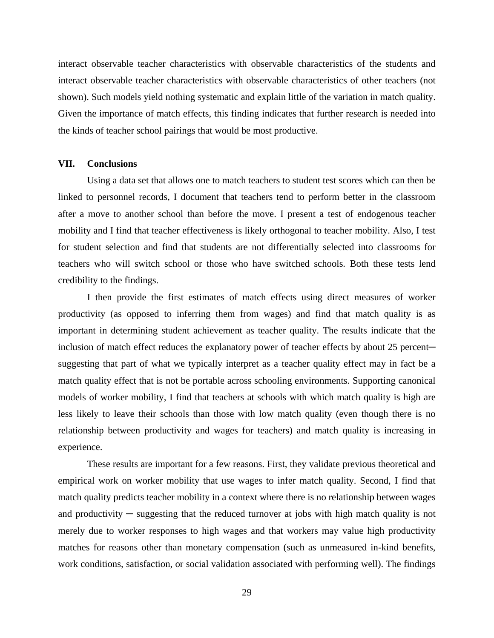interact observable teacher characteristics with observable characteristics of the students and interact observable teacher characteristics with observable characteristics of other teachers (not shown). Such models yield nothing systematic and explain little of the variation in match quality. Given the importance of match effects, this finding indicates that further research is needed into the kinds of teacher school pairings that would be most productive.

#### **VII. Conclusions**

 Using a data set that allows one to match teachers to student test scores which can then be linked to personnel records, I document that teachers tend to perform better in the classroom after a move to another school than before the move. I present a test of endogenous teacher mobility and I find that teacher effectiveness is likely orthogonal to teacher mobility. Also, I test for student selection and find that students are not differentially selected into classrooms for teachers who will switch school or those who have switched schools. Both these tests lend credibility to the findings.

 I then provide the first estimates of match effects using direct measures of worker productivity (as opposed to inferring them from wages) and find that match quality is as important in determining student achievement as teacher quality. The results indicate that the inclusion of match effect reduces the explanatory power of teacher effects by about 25 percent suggesting that part of what we typically interpret as a teacher quality effect may in fact be a match quality effect that is not be portable across schooling environments. Supporting canonical models of worker mobility, I find that teachers at schools with which match quality is high are less likely to leave their schools than those with low match quality (even though there is no relationship between productivity and wages for teachers) and match quality is increasing in experience.

 These results are important for a few reasons. First, they validate previous theoretical and empirical work on worker mobility that use wages to infer match quality. Second, I find that match quality predicts teacher mobility in a context where there is no relationship between wages and productivity  $-$  suggesting that the reduced turnover at jobs with high match quality is not merely due to worker responses to high wages and that workers may value high productivity matches for reasons other than monetary compensation (such as unmeasured in-kind benefits, work conditions, satisfaction, or social validation associated with performing well). The findings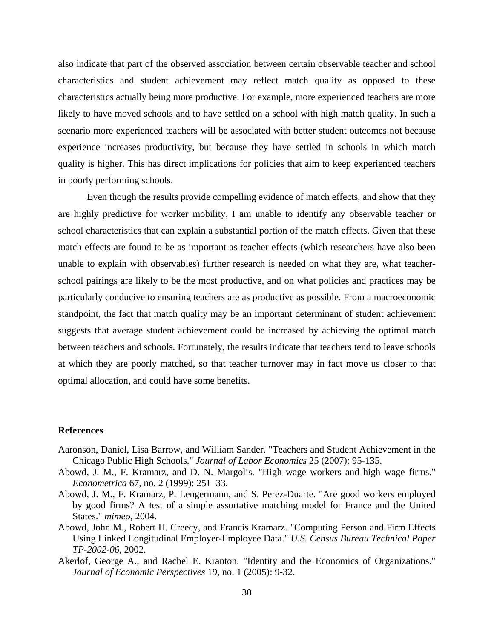also indicate that part of the observed association between certain observable teacher and school characteristics and student achievement may reflect match quality as opposed to these characteristics actually being more productive. For example, more experienced teachers are more likely to have moved schools and to have settled on a school with high match quality. In such a scenario more experienced teachers will be associated with better student outcomes not because experience increases productivity, but because they have settled in schools in which match quality is higher. This has direct implications for policies that aim to keep experienced teachers in poorly performing schools.

 Even though the results provide compelling evidence of match effects, and show that they are highly predictive for worker mobility, I am unable to identify any observable teacher or school characteristics that can explain a substantial portion of the match effects. Given that these match effects are found to be as important as teacher effects (which researchers have also been unable to explain with observables) further research is needed on what they are, what teacherschool pairings are likely to be the most productive, and on what policies and practices may be particularly conducive to ensuring teachers are as productive as possible. From a macroeconomic standpoint, the fact that match quality may be an important determinant of student achievement suggests that average student achievement could be increased by achieving the optimal match between teachers and schools. Fortunately, the results indicate that teachers tend to leave schools at which they are poorly matched, so that teacher turnover may in fact move us closer to that optimal allocation, and could have some benefits.

#### **References**

- Aaronson, Daniel, Lisa Barrow, and William Sander. "Teachers and Student Achievement in the Chicago Public High Schools." *Journal of Labor Economics* 25 (2007): 95-135.
- Abowd, J. M., F. Kramarz, and D. N. Margolis. "High wage workers and high wage firms." *Econometrica* 67, no. 2 (1999): 251–33.
- Abowd, J. M., F. Kramarz, P. Lengermann, and S. Perez-Duarte. "Are good workers employed by good firms? A test of a simple assortative matching model for France and the United States." *mimeo*, 2004.
- Abowd, John M., Robert H. Creecy, and Francis Kramarz. "Computing Person and Firm Effects Using Linked Longitudinal Employer-Employee Data." *U.S. Census Bureau Technical Paper TP-2002-06*, 2002.
- Akerlof, George A., and Rachel E. Kranton. "Identity and the Economics of Organizations." *Journal of Economic Perspectives* 19, no. 1 (2005): 9-32.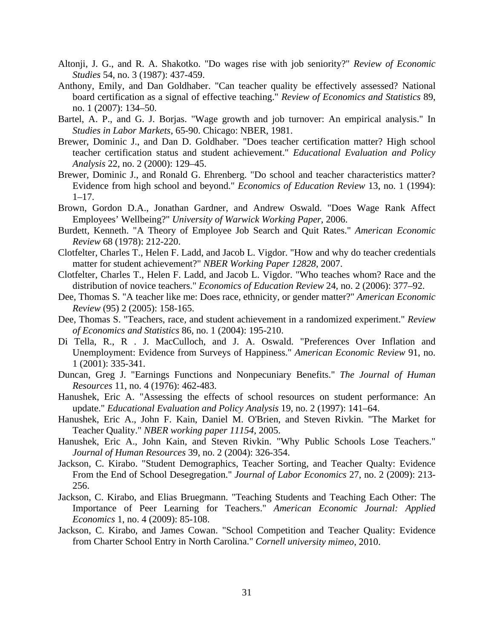- Altonji, J. G., and R. A. Shakotko. "Do wages rise with job seniority?" *Review of Economic Studies* 54, no. 3 (1987): 437-459.
- Anthony, Emily, and Dan Goldhaber. "Can teacher quality be effectively assessed? National board certification as a signal of effective teaching." *Review of Economics and Statistics* 89, no. 1 (2007): 134–50.
- Bartel, A. P., and G. J. Borjas. "Wage growth and job turnover: An empirical analysis." In *Studies in Labor Markets*, 65-90. Chicago: NBER, 1981.
- Brewer, Dominic J., and Dan D. Goldhaber. "Does teacher certification matter? High school teacher certification status and student achievement." *Educational Evaluation and Policy Analysis* 22, no. 2 (2000): 129–45.
- Brewer, Dominic J., and Ronald G. Ehrenberg. "Do school and teacher characteristics matter? Evidence from high school and beyond." *Economics of Education Review* 13, no. 1 (1994):  $1-17.$
- Brown, Gordon D.A., Jonathan Gardner, and Andrew Oswald. "Does Wage Rank Affect Employees' Wellbeing?" *University of Warwick Working Paper*, 2006.
- Burdett, Kenneth. "A Theory of Employee Job Search and Quit Rates." *American Economic Review* 68 (1978): 212-220.
- Clotfelter, Charles T., Helen F. Ladd, and Jacob L. Vigdor. "How and why do teacher credentials matter for student achievement?" *NBER Working Paper 12828*, 2007.
- Clotfelter, Charles T., Helen F. Ladd, and Jacob L. Vigdor. "Who teaches whom? Race and the distribution of novice teachers." *Economics of Education Review* 24, no. 2 (2006): 377–92.
- Dee, Thomas S. "A teacher like me: Does race, ethnicity, or gender matter?" *American Economic Review* (95) 2 (2005): 158-165.
- Dee, Thomas S. "Teachers, race, and student achievement in a randomized experiment." *Review of Economics and Statistics* 86, no. 1 (2004): 195-210.
- Di Tella, R., R . J. MacCulloch, and J. A. Oswald. "Preferences Over Inflation and Unemployment: Evidence from Surveys of Happiness." *American Economic Review* 91, no. 1 (2001): 335-341.
- Duncan, Greg J. "Earnings Functions and Nonpecuniary Benefits." *The Journal of Human Resources* 11, no. 4 (1976): 462-483.
- Hanushek, Eric A. "Assessing the effects of school resources on student performance: An update." *Educational Evaluation and Policy Analysis* 19, no. 2 (1997): 141–64.
- Hanushek, Eric A., John F. Kain, Daniel M. O'Brien, and Steven Rivkin. "The Market for Teacher Quality." *NBER working paper 11154*, 2005.
- Hanushek, Eric A., John Kain, and Steven Rivkin. "Why Public Schools Lose Teachers." *Journal of Human Resources* 39, no. 2 (2004): 326-354.
- Jackson, C. Kirabo. "Student Demographics, Teacher Sorting, and Teacher Qualty: Evidence From the End of School Desegregation." *Journal of Labor Economics* 27, no. 2 (2009): 213- 256.
- Jackson, C. Kirabo, and Elias Bruegmann. "Teaching Students and Teaching Each Other: The Importance of Peer Learning for Teachers." *American Economic Journal: Applied Economics* 1, no. 4 (2009): 85-108.
- Jackson, C. Kirabo, and James Cowan. "School Competition and Teacher Quality: Evidence from Charter School Entry in North Carolina." *Cornell university mimeo*, 2010.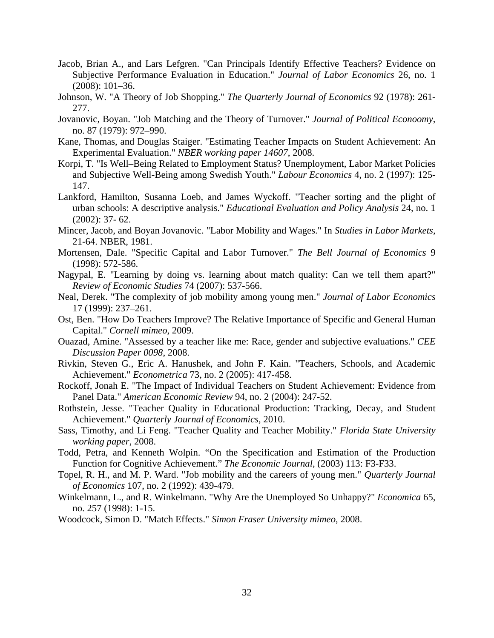- Jacob, Brian A., and Lars Lefgren. "Can Principals Identify Effective Teachers? Evidence on Subjective Performance Evaluation in Education." *Journal of Labor Economics* 26, no. 1 (2008): 101–36.
- Johnson, W. "A Theory of Job Shopping." *The Quarterly Journal of Economics* 92 (1978): 261- 277.
- Jovanovic, Boyan. "Job Matching and the Theory of Turnover." *Journal of Political Econoomy*, no. 87 (1979): 972–990.
- Kane, Thomas, and Douglas Staiger. "Estimating Teacher Impacts on Student Achievement: An Experimental Evaluation." *NBER working paper 14607*, 2008.
- Korpi, T. "Is Well–Being Related to Employment Status? Unemployment, Labor Market Policies and Subjective Well-Being among Swedish Youth." *Labour Economics* 4, no. 2 (1997): 125- 147.
- Lankford, Hamilton, Susanna Loeb, and James Wyckoff. "Teacher sorting and the plight of urban schools: A descriptive analysis." *Educational Evaluation and Policy Analysis* 24, no. 1 (2002): 37- 62.
- Mincer, Jacob, and Boyan Jovanovic. "Labor Mobility and Wages." In *Studies in Labor Markets*, 21-64. NBER, 1981.
- Mortensen, Dale. "Specific Capital and Labor Turnover." *The Bell Journal of Economics* 9 (1998): 572-586.
- Nagypal, E. "Learning by doing vs. learning about match quality: Can we tell them apart?" *Review of Economic Studies* 74 (2007): 537-566.
- Neal, Derek. "The complexity of job mobility among young men." *Journal of Labor Economics* 17 (1999): 237–261.
- Ost, Ben. "How Do Teachers Improve? The Relative Importance of Specific and General Human Capital." *Cornell mimeo*, 2009.
- Ouazad, Amine. "Assessed by a teacher like me: Race, gender and subjective evaluations." *CEE Discussion Paper 0098*, 2008.
- Rivkin, Steven G., Eric A. Hanushek, and John F. Kain. "Teachers, Schools, and Academic Achievement." *Econometrica* 73, no. 2 (2005): 417-458.
- Rockoff, Jonah E. "The Impact of Individual Teachers on Student Achievement: Evidence from Panel Data." *American Economic Review* 94, no. 2 (2004): 247-52.
- Rothstein, Jesse. "Teacher Quality in Educational Production: Tracking, Decay, and Student Achievement." *Quarterly Journal of Economics*, 2010.
- Sass, Timothy, and Li Feng. "Teacher Quality and Teacher Mobility." *Florida State University working paper*, 2008.
- Todd, Petra, and Kenneth Wolpin. "On the Specification and Estimation of the Production Function for Cognitive Achievement." *The Economic Journal*, (2003) 113: F3-F33.
- Topel, R. H., and M. P. Ward. "Job mobility and the careers of young men." *Quarterly Journal of Economics* 107, no. 2 (1992): 439-479.
- Winkelmann, L., and R. Winkelmann. "Why Are the Unemployed So Unhappy?" *Economica* 65, no. 257 (1998): 1-15.
- Woodcock, Simon D. "Match Effects." *Simon Fraser University mimeo*, 2008.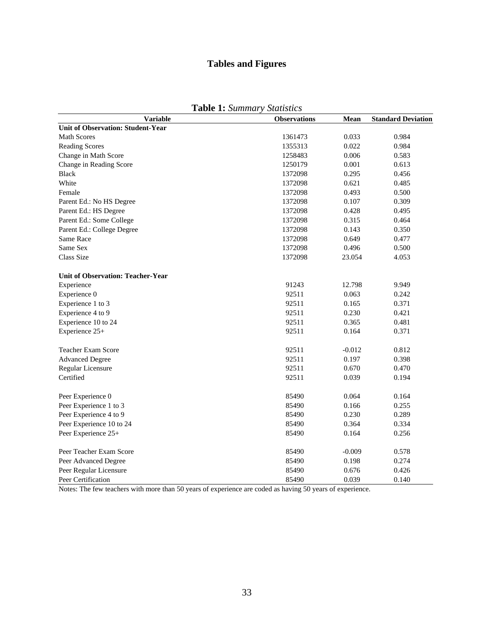## **Tables and Figures**

|--|

| <b>Variable</b>                          | <b>Observations</b> | Mean     | <b>Standard Deviation</b> |
|------------------------------------------|---------------------|----------|---------------------------|
| <b>Unit of Observation: Student-Year</b> |                     |          |                           |
| <b>Math Scores</b>                       | 1361473             | 0.033    | 0.984                     |
| <b>Reading Scores</b>                    | 1355313             | 0.022    | 0.984                     |
| Change in Math Score                     | 1258483             | 0.006    | 0.583                     |
| Change in Reading Score                  | 1250179             | 0.001    | 0.613                     |
| <b>Black</b>                             | 1372098             | 0.295    | 0.456                     |
| White                                    | 1372098             | 0.621    | 0.485                     |
| Female                                   | 1372098             | 0.493    | 0.500                     |
| Parent Ed.: No HS Degree                 | 1372098             | 0.107    | 0.309                     |
| Parent Ed.: HS Degree                    | 1372098             | 0.428    | 0.495                     |
| Parent Ed.: Some College                 | 1372098             | 0.315    | 0.464                     |
| Parent Ed.: College Degree               | 1372098             | 0.143    | 0.350                     |
| Same Race                                | 1372098             | 0.649    | 0.477                     |
| Same Sex                                 | 1372098             | 0.496    | 0.500                     |
| <b>Class Size</b>                        | 1372098             | 23.054   | 4.053                     |
| <b>Unit of Observation: Teacher-Year</b> |                     |          |                           |
| Experience                               | 91243               | 12.798   | 9.949                     |
| Experience 0                             | 92511               | 0.063    | 0.242                     |
| Experience 1 to 3                        | 92511               | 0.165    | 0.371                     |
| Experience 4 to 9                        | 92511               | 0.230    | 0.421                     |
| Experience 10 to 24                      | 92511               | 0.365    | 0.481                     |
| Experience 25+                           | 92511               | 0.164    | 0.371                     |
| <b>Teacher Exam Score</b>                | 92511               | $-0.012$ | 0.812                     |
| <b>Advanced Degree</b>                   | 92511               | 0.197    | 0.398                     |
| Regular Licensure                        | 92511               | 0.670    | 0.470                     |
| Certified                                | 92511               | 0.039    | 0.194                     |
| Peer Experience 0                        | 85490               | 0.064    | 0.164                     |
| Peer Experience 1 to 3                   | 85490               | 0.166    | 0.255                     |
| Peer Experience 4 to 9                   | 85490               | 0.230    | 0.289                     |
| Peer Experience 10 to 24                 | 85490               | 0.364    | 0.334                     |
| Peer Experience 25+                      | 85490               | 0.164    | 0.256                     |
| Peer Teacher Exam Score                  | 85490               | $-0.009$ | 0.578                     |
| Peer Advanced Degree                     | 85490               | 0.198    | 0.274                     |
| Peer Regular Licensure                   | 85490               | 0.676    | 0.426                     |
| Peer Certification                       | 85490               | 0.039    | 0.140                     |

Notes: The few teachers with more than 50 years of experience are coded as having 50 years of experience.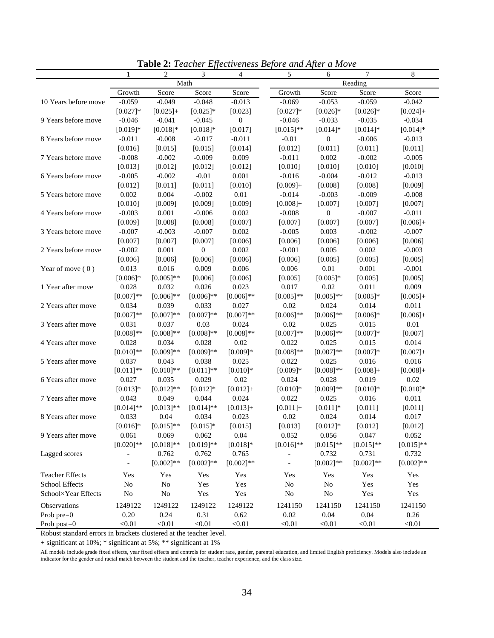|                        | $\mathbf{1}$   | 2            | 3                | $\overline{4}$      | <u>Effectiveness</u> Before and Hjier<br>5 | 0.1101<br>6      | 7            | 8                   |
|------------------------|----------------|--------------|------------------|---------------------|--------------------------------------------|------------------|--------------|---------------------|
|                        |                | Math         |                  |                     |                                            |                  | Reading      |                     |
|                        | Growth         | Score        | Score            | Score               | Growth                                     | Score            | Score        | Score               |
| 10 Years before move   | $-0.059$       | $-0.049$     | $-0.048$         | $-0.013$            | $-0.069$                                   | $-0.053$         | $-0.059$     | $-0.042$            |
|                        | $[0.027]*$     | $[0.025]+$   | $[0.025]*$       | [0.023]             | $[0.027]*$                                 | $[0.026]$ *      | $[0.026]$ *  | $[0.024] +$         |
| 9 Years before move    | $-0.046$       | $-0.041$     | $-0.045$         | $\boldsymbol{0}$    | $-0.046$                                   | $-0.033$         | $-0.035$     | $-0.034$            |
|                        | $[0.019]*$     | $[0.018]*$   | $[0.018]*$       | [0.017]             | $[0.015]**$                                | $[0.014]*$       | $[0.014]*$   | $[0.014]*$          |
| 8 Years before move    | $-0.011$       | $-0.008$     | $-0.017$         | $-0.011$            | $-0.01$                                    | $\boldsymbol{0}$ | $-0.006$     | $-0.013$            |
|                        | [0.016]        | [0.015]      | [0.015]          | [0.014]             | [0.012]                                    | [0.011]          | [0.011]      | [0.011]             |
| 7 Years before move    | $-0.008$       | $-0.002$     | $-0.009$         | 0.009               | $-0.011$                                   | 0.002            | $-0.002$     | $-0.005$            |
|                        | [0.013]        | [0.012]      | [0.012]          | [0.012]             | [0.010]                                    | [0.010]          | [0.010]      | [0.010]             |
| 6 Years before move    | $-0.005$       | $-0.002$     | $-0.01$          | 0.001               | $-0.016$                                   | $-0.004$         | $-0.012$     | $-0.013$            |
|                        | [0.012]        | [0.011]      | [0.011]          | [0.010]             | $[0.009]+$                                 | [0.008]          | [0.008]      | [0.009]             |
| 5 Years before move    | 0.002          | 0.004        | $-0.002$         | $0.01\,$            | $-0.014$                                   | $-0.003$         | $-0.009$     | $-0.008$            |
|                        | [0.010]        | [0.009]      | [0.009]          | [0.009]             | $[0.008]+$                                 | [0.007]          | [0.007]      | [0.007]             |
| 4 Years before move    | $-0.003$       | 0.001        | $-0.006$         | 0.002               | $-0.008$                                   | $\boldsymbol{0}$ | $-0.007$     | $-0.011$            |
|                        | [0.009]        | [0.008]      | [0.008]          | [0.007]             | [0.007]                                    | [0.007]          | [0.007]      | $[0.006]+$          |
| 3 Years before move    | $-0.007$       | $-0.003$     | $-0.007$         | 0.002               | $-0.005$                                   | 0.003            | $-0.002$     | $-0.007$            |
|                        | [0.007]        | [0.007]      | [0.007]          | [0.006]             | [0.006]                                    | [0.006]          | [0.006]      | [0.006]             |
| 2 Years before move    | $-0.002$       | 0.001        | $\boldsymbol{0}$ | 0.002               | $-0.001$                                   | 0.005            | 0.002        | $-0.003$            |
|                        | [0.006]        | [0.006]      | [0.006]          | [0.006]             | [0.006]                                    | [0.005]          | [0.005]      | [0.005]             |
| Year of move $(0)$     | 0.013          | 0.016        | 0.009            | 0.006               | 0.006                                      | $0.01\,$         | 0.001        | $-0.001$            |
|                        | $[0.006]*$     | $[0.005]$ ** | [0.006]          | [0.006]             | [0.005]                                    | $[0.005]*$       | [0.005]      | [0.005]             |
| 1 Year after move      | 0.028          | 0.032        | 0.026            | 0.023               | 0.017                                      | 0.02             | 0.011        | 0.009               |
|                        | $[0.007]**$    | $[0.006]$ ** | $[0.006]$ **     | $[0.006]$ **        | $[0.005]$ **                               | $[0.005]$ **     | $[0.005]*$   | $[0.005]+$          |
| 2 Years after move     | 0.034          | 0.039        | 0.033            | 0.027               | 0.02                                       | 0.024            | 0.014        | 0.011               |
|                        | $[0.007]**$    | $[0.007]**$  | $[0.007]**$      | $[0.007]**$         | $[0.006]$ **                               | $[0.006]$ **     | $[0.006]*$   | $[0.006]+$          |
| 3 Years after move     | 0.031          | 0.037        | 0.03             | 0.024               | 0.02                                       | 0.025            | 0.015        | $0.01\,$            |
|                        | $[0.008]$ **   | $[0.008]$ ** | $[0.008]**$      | $[0.008]**$         | $[0.007]**$                                | $[0.006]$ **     | $[0.007]*$   | [0.007]             |
| 4 Years after move     | 0.028          | 0.034        | 0.028            | 0.02                | 0.022                                      | 0.025            | 0.015        | 0.014               |
|                        | $[0.010]$ **   | $[0.009]**$  |                  |                     |                                            | $[0.007]**$      |              |                     |
|                        | 0.037          |              | $[0.009]**$      | $[0.009]*$<br>0.025 | $[0.008]**$                                |                  | $[0.007]*$   | $[0.007]+$<br>0.016 |
| 5 Years after move     |                | 0.043        | 0.038            |                     | 0.022                                      | 0.025            | 0.016        |                     |
|                        | $[0.011]$ **   | $[0.010]$ ** | $[0.011]$ **     | $[0.010]*$          | $[0.009]*$                                 | $[0.008]**$      | $[0.008]+$   | $[0.008]+$          |
| 6 Years after move     | 0.027          | 0.035        | 0.029            | 0.02                | 0.024                                      | 0.028            | 0.019        | 0.02                |
|                        | $[0.013]*$     | $[0.012]**$  | $[0.012]*$       | $[0.012]+$          | $[0.010]*$                                 | $[0.009]**$      | $[0.010]*$   | $[0.010]*$          |
| 7 Years after move     | 0.043          | 0.049        | 0.044            | 0.024               | 0.022                                      | 0.025            | 0.016        | 0.011               |
|                        | $[0.014]$ **   | $[0.013]$ ** | $[0.014]$ **     | $[0.013]+$          | $[0.011]+$                                 | $[0.011]*$       | [0.011]      | [0.011]             |
| 8 Years after move     | 0.033          | 0.04         | 0.034            | 0.023               | 0.02                                       | 0.024            | 0.014        | 0.017               |
|                        | $[0.016]*$     | $[0.015]**$  | $[0.015]*$       | [0.015]             | [0.013]                                    | $[0.012]*$       | [0.012]      | [0.012]             |
| 9 Years after move     | 0.061          | 0.069        | 0.062            | 0.04                | 0.052                                      | 0.056            | 0.047        | 0.052               |
|                        | $[0.020]$ **   | $[0.018]**$  | $[0.019]**$      | $[0.018]*$          | $[0.016]$ **                               | $[0.015]*$       | $[0.015]**$  | $[0.015]*$          |
| Lagged scores          | $\overline{a}$ | 0.762        | 0.762            | 0.765               |                                            | 0.732            | 0.731        | 0.732               |
|                        |                | $[0.002]$ ** | $[0.002]**$      | $[0.002]**$         |                                            | $[0.002]$ **     | $[0.002]$ ** | $[0.002]**$         |
| <b>Teacher Effects</b> | Yes            | Yes          | Yes              | Yes                 | Yes                                        | Yes              | Yes          | Yes                 |
| School Effects         | No             | No           | Yes              | Yes                 | N <sub>0</sub>                             | $\rm No$         | Yes          | Yes                 |
| School×Year Effects    | No             | $\rm No$     | Yes              | Yes                 | N <sub>0</sub>                             | No               | Yes          | Yes                 |
| Observations           | 1249122        | 1249122      | 1249122          | 1249122             | 1241150                                    | 1241150          | 1241150      | 1241150             |
| Prob pre=0             | 0.20           | 0.24         | 0.31             | 0.62                | 0.02                                       | 0.04             | $0.04\,$     | 0.26                |
| Prob post=0            | < 0.01         | < 0.01       | < 0.01           | < 0.01              | < 0.01                                     | < 0.01           | < 0.01       | < 0.01              |

**Table 2:** *Teacher Effectiveness Before and After a Move* 

Robust standard errors in brackets clustered at the teacher level.

+ significant at 10%; \* significant at 5%; \*\* significant at 1%

All models include grade fixed effects, year fixed effects and controls for student race, gender, parental education, and limited English proficiency. Models also include an indicator for the gender and racial match between the student and the teacher, teacher experience, and the class size.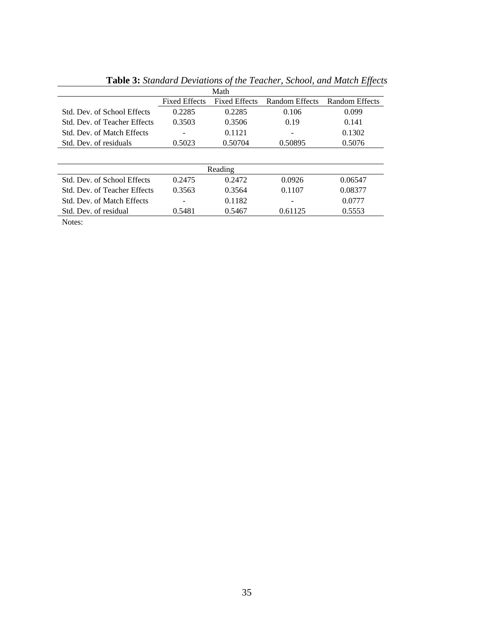|                                   |                      | Math                 |                |                |
|-----------------------------------|----------------------|----------------------|----------------|----------------|
|                                   | <b>Fixed Effects</b> | <b>Fixed Effects</b> | Random Effects | Random Effects |
| Std. Dev. of School Effects       | 0.2285               | 0.2285               | 0.106          | 0.099          |
| Std. Dev. of Teacher Effects      | 0.3503               | 0.3506               | 0.19           | 0.141          |
| Std. Dev. of Match Effects        |                      | 0.1121               |                | 0.1302         |
| Std. Dev. of residuals            | 0.5023               | 0.50704              | 0.50895        | 0.5076         |
|                                   |                      |                      |                |                |
|                                   |                      | Reading              |                |                |
| Std. Dev. of School Effects       | 0.2475               | 0.2472               | 0.0926         | 0.06547        |
| Std. Dev. of Teacher Effects      | 0.3563               | 0.3564               | 0.1107         | 0.08377        |
| <b>Std. Dev. of Match Effects</b> |                      | 0.1182               |                | 0.0777         |
| Std. Dev. of residual             | 0.5481               | 0.5467               | 0.61125        | 0.5553         |
|                                   |                      |                      |                |                |

**Table 3:** *Standard Deviations of the Teacher, School, and Match Effects*

Notes: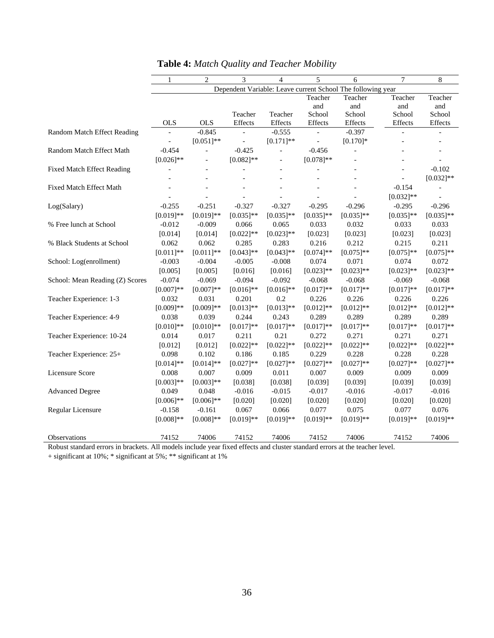|                                                                                                                          | 1            | $\overline{2}$           | 3                        | $\overline{4}$ | 5                        | 6                                                           | 7            | 8              |
|--------------------------------------------------------------------------------------------------------------------------|--------------|--------------------------|--------------------------|----------------|--------------------------|-------------------------------------------------------------|--------------|----------------|
|                                                                                                                          |              |                          |                          |                |                          | Dependent Variable: Leave current School The following year |              |                |
|                                                                                                                          |              |                          |                          |                | Teacher                  | Teacher                                                     | Teacher      | Teacher        |
|                                                                                                                          |              |                          |                          |                | and                      | and                                                         | and          | and            |
|                                                                                                                          |              |                          | Teacher                  | Teacher        | School                   | School                                                      | School       | School         |
|                                                                                                                          | <b>OLS</b>   | <b>OLS</b>               | Effects                  | $\it Effects$  | Effects                  | Effects                                                     | Effects      | Effects        |
| Random Match Effect Reading                                                                                              |              | $-0.845$                 |                          | $-0.555$       |                          | $-0.397$                                                    |              |                |
|                                                                                                                          |              | $[0.051]*$               | $\overline{\phantom{a}}$ | $[0.171]$ **   | $\overline{\phantom{a}}$ | $[0.170]$ *                                                 |              |                |
| Random Match Effect Math                                                                                                 | $-0.454$     | $\overline{\phantom{0}}$ | $-0.425$                 | $\equiv$       | $-0.456$                 | $\overline{\phantom{a}}$                                    |              |                |
|                                                                                                                          | $[0.026]$ ** | $\overline{\phantom{0}}$ | $[0.082]$ **             |                | $[0.078]$ **             |                                                             |              |                |
| <b>Fixed Match Effect Reading</b>                                                                                        |              |                          | $\overline{a}$           |                |                          |                                                             |              | $-0.102$       |
|                                                                                                                          |              |                          |                          |                |                          |                                                             |              | $[0.032]$ **   |
| <b>Fixed Match Effect Math</b>                                                                                           |              |                          |                          |                |                          |                                                             | $-0.154$     |                |
|                                                                                                                          |              |                          |                          |                | $\overline{a}$           |                                                             | $[0.032]$ ** | $\overline{a}$ |
| Log(Salary)                                                                                                              | $-0.255$     | $-0.251$                 | $-0.327$                 | $-0.327$       | $-0.295$                 | $-0.296$                                                    | $-0.295$     | $-0.296$       |
|                                                                                                                          | $[0.019]**$  | $[0.019]**$              | $[0.035]$ **             | $[0.035]$ **   | $[0.035]$ **             | $[0.035]$ **                                                | $[0.035]**$  | $[0.035]$ **   |
| % Free lunch at School                                                                                                   | $-0.012$     | $-0.009$                 | 0.066                    | 0.065          | 0.033                    | 0.032                                                       | 0.033        | 0.033          |
|                                                                                                                          | [0.014]      | [0.014]                  | $[0.022]$ **             | $[0.023]**$    | [0.023]                  | [0.023]                                                     | [0.023]      | [0.023]        |
| % Black Students at School                                                                                               | 0.062        | 0.062                    | 0.285                    | 0.283          | 0.216                    | 0.212                                                       | 0.215        | 0.211          |
|                                                                                                                          | $[0.011]$ ** | $[0.011]$ **             | $[0.043]$ **             | $[0.043]$ **   | $[0.074]$ **             | $[0.075]$ **                                                | $[0.075]**$  | $[0.075]**$    |
| School: Log(enrollment)                                                                                                  | $-0.003$     | $-0.004$                 | $-0.005$                 | $-0.008$       | 0.074                    | 0.071                                                       | 0.074        | 0.072          |
|                                                                                                                          | [0.005]      | [0.005]                  | [0.016]                  | [0.016]        | $[0.023]**$              | $[0.023]$ **                                                | $[0.023]$ ** | $[0.023]**$    |
| School: Mean Reading (Z) Scores                                                                                          | $-0.074$     | $-0.069$                 | $-0.094$                 | $-0.092$       | $-0.068$                 | $-0.068$                                                    | $-0.069$     | $-0.068$       |
|                                                                                                                          | $[0.007]**$  | $[0.007]**$              | $[0.016]$ **             | $[0.016]$ **   | $[0.017]**$              | $[0.017]**$                                                 | $[0.017]**$  | $[0.017]**$    |
| Teacher Experience: 1-3                                                                                                  | 0.032        | 0.031                    | 0.201                    | 0.2            | 0.226                    | 0.226                                                       | 0.226        | 0.226          |
|                                                                                                                          | $[0.009]**$  | $[0.009]**$              | $[0.013]**$              | $[0.013]**$    | $[0.012]$ **             | $[0.012]**$                                                 | $[0.012]**$  | $[0.012]**$    |
| Teacher Experience: 4-9                                                                                                  | 0.038        | 0.039                    | 0.244                    | 0.243          | 0.289                    | 0.289                                                       | 0.289        | 0.289          |
|                                                                                                                          | $[0.010]**$  | $[0.010]$ **             | $[0.017]**$              | $[0.017]**$    | $[0.017]**$              | $[0.017]**$                                                 | $[0.017]**$  | $[0.017]**$    |
| Teacher Experience: 10-24                                                                                                | 0.014        | 0.017                    | 0.211                    | 0.21           | 0.272                    | 0.271                                                       | 0.271        | 0.271          |
|                                                                                                                          | [0.012]      | [0.012]                  | $[0.022]$ **             | $[0.022]$ **   | $[0.022]$ **             | $[0.022]$ **                                                | $[0.022]$ ** | $[0.022]$ **   |
| Teacher Experience: 25+                                                                                                  | 0.098        | 0.102                    | 0.186                    | 0.185          | 0.229                    | 0.228                                                       | 0.228        | 0.228          |
|                                                                                                                          | $[0.014]$ ** | $[0.014]$ **             | $[0.027]**$              | $[0.027]**$    | $[0.027]**$              | $[0.027]**$                                                 | $[0.027]**$  | $[0.027]**$    |
| Licensure Score                                                                                                          | 0.008        | 0.007                    | 0.009                    | 0.011          | 0.007                    | 0.009                                                       | 0.009        | 0.009          |
|                                                                                                                          | $[0.003]**$  | $[0.003]**$              | [0.038]                  | [0.038]        | [0.039]                  | [0.039]                                                     | [0.039]      | [0.039]        |
| <b>Advanced Degree</b>                                                                                                   | 0.049        | 0.048                    | $-0.016$                 | $-0.015$       | $-0.017$                 | $-0.016$                                                    | $-0.017$     | $-0.016$       |
|                                                                                                                          | $[0.006]$ ** | $[0.006]$ **             | [0.020]                  | [0.020]        | [0.020]                  | [0.020]                                                     | [0.020]      | [0.020]        |
| Regular Licensure                                                                                                        | $-0.158$     | $-0.161$                 | 0.067                    | 0.066          | 0.077                    | 0.075                                                       | 0.077        | 0.076          |
|                                                                                                                          | $[0.008]**$  | $[0.008]**$              | $[0.019]**$              | $[0.019]**$    | $[0.019]**$              | $[0.019]**$                                                 | $[0.019]**$  | $[0.019]**$    |
|                                                                                                                          |              |                          |                          |                |                          |                                                             |              |                |
| Observations                                                                                                             | 74152        | 74006                    | 74152                    | 74006          | 74152                    | 74006                                                       | 74152        | 74006          |
| Dohuat standard sman; in huaskate. All models include your fixed effects and eluster standard sman; et the teacher level |              |                          |                          |                |                          |                                                             |              |                |

|  | <b>Table 4:</b> Match Quality and Teacher Mobility |  |
|--|----------------------------------------------------|--|
|--|----------------------------------------------------|--|

Robust standard errors in brackets. All models include year fixed effects and cluster standard errors at the teacher level.

+ significant at 10%; \* significant at 5%; \*\* significant at 1%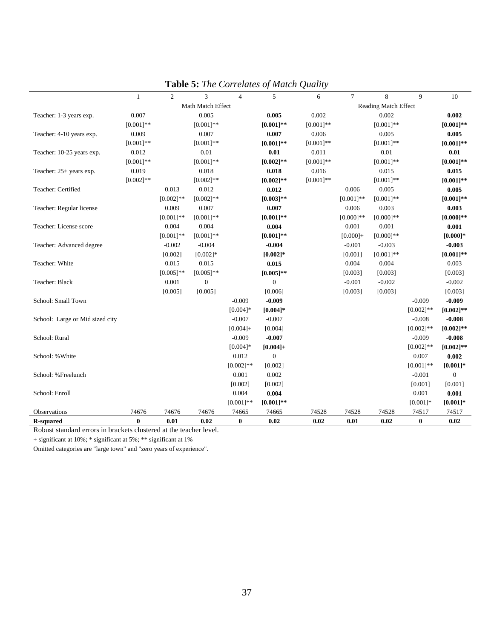|                                 | 1                 | $\overline{c}$ | 3            | $\overline{4}$ | 5                           | 6            | $\overline{7}$ | 8            | 9            | 10           |
|---------------------------------|-------------------|----------------|--------------|----------------|-----------------------------|--------------|----------------|--------------|--------------|--------------|
|                                 | Math Match Effect |                |              |                | <b>Reading Match Effect</b> |              |                |              |              |              |
| Teacher: 1-3 years exp.         | 0.007             |                | 0.005        |                | 0.005                       | 0.002        |                | 0.002        |              | 0.002        |
|                                 | $[0.001]**$       |                | $[0.001]**$  |                | $[0.001]**$                 | $[0.001]$ ** |                | $[0.001]**$  |              | $[0.001]**$  |
| Teacher: 4-10 years exp.        | 0.009             |                | 0.007        |                | 0.007                       | 0.006        |                | 0.005        |              | 0.005        |
|                                 | $[0.001]**$       |                | $[0.001]**$  |                | $[0.001]$ **                | $[0.001]$ ** |                | $[0.001]$ ** |              | $[0.001]$ ** |
| Teacher: 10-25 years exp.       | 0.012             |                | 0.01         |                | 0.01                        | 0.011        |                | 0.01         |              | 0.01         |
|                                 | $[0.001]**$       |                | $[0.001]$ ** |                | $[0.002]$ **                | $[0.001]$ ** |                | $[0.001]$ ** |              | $[0.001]**$  |
| Teacher: 25+ years exp.         | 0.019             |                | 0.018        |                | 0.018                       | 0.016        |                | 0.015        |              | 0.015        |
|                                 | $[0.002]$ **      |                | $[0.002]$ ** |                | $[0.002]$ **                | $[0.001]$ ** |                | $[0.001]**$  |              | $[0.001]$ ** |
| Teacher: Certified              |                   | 0.013          | 0.012        |                | 0.012                       |              | 0.006          | 0.005        |              | 0.005        |
|                                 |                   | $[0.002]$ **   | $[0.002]$ ** |                | $[0.003]**$                 |              | $[0.001]$ **   | $[0.001]**$  |              | $[0.001]$ ** |
| Teacher: Regular license        |                   | 0.009          | 0.007        |                | 0.007                       |              | 0.006          | 0.003        |              | 0.003        |
|                                 |                   | $[0.001]$ **   | $[0.001]$ ** |                | $[0.001]$ **                |              | $[0.000]$ **   | $[0.000]$ ** |              | $[0.000]$ ** |
| Teacher: License score          |                   | 0.004          | 0.004        |                | 0.004                       |              | 0.001          | 0.001        |              | 0.001        |
|                                 |                   | $[0.001]**$    | $[0.001]$ ** |                | $[0.001]**$                 |              | $[0.000] +$    | $[0.000]$ ** |              | $[0.000]$ *  |
| Teacher: Advanced degree        |                   | $-0.002$       | $-0.004$     |                | $-0.004$                    |              | $-0.001$       | $-0.003$     |              | $-0.003$     |
|                                 |                   | [0.002]        | $[0.002]*$   |                | $[0.002]$ *                 |              | [0.001]        | $[0.001]$ ** |              | $[0.001]**$  |
| Teacher: White                  |                   | 0.015          | 0.015        |                | 0.015                       |              | 0.004          | 0.004        |              | 0.003        |
|                                 |                   | $[0.005]$ **   | $[0.005]$ ** |                | $[0.005]**$                 |              | [0.003]        | [0.003]      |              | [0.003]      |
| Teacher: Black                  |                   | 0.001          | $\Omega$     |                | $\overline{0}$              |              | $-0.001$       | $-0.002$     |              | $-0.002$     |
|                                 |                   | [0.005]        | [0.005]      |                | [0.006]                     |              | [0.003]        | [0.003]      |              | [0.003]      |
| School: Small Town              |                   |                |              | $-0.009$       | $-0.009$                    |              |                |              | $-0.009$     | $-0.009$     |
|                                 |                   |                |              | $[0.004]$ *    | $[0.004]*$                  |              |                |              | $[0.002]$ ** | $[0.002]**$  |
| School: Large or Mid sized city |                   |                |              | $-0.007$       | $-0.007$                    |              |                |              | $-0.008$     | $-0.008$     |
|                                 |                   |                |              | $[0.004] +$    | [0.004]                     |              |                |              | $[0.002]$ ** | $[0.002]**$  |
| School: Rural                   |                   |                |              | $-0.009$       | $-0.007$                    |              |                |              | $-0.009$     | $-0.008$     |
|                                 |                   |                |              | $[0.004]*$     | $[0.004]+$                  |              |                |              | $[0.002]$ ** | $[0.002]$ ** |
| School: % White                 |                   |                |              | 0.012          | $\overline{0}$              |              |                |              | 0.007        | 0.002        |
|                                 |                   |                |              | $[0.002]$ **   | [0.002]                     |              |                |              | $[0.001]$ ** | $[0.001]*$   |
| School: %Freelunch              |                   |                |              | 0.001          | 0.002                       |              |                |              | $-0.001$     | $\mathbf{0}$ |
|                                 |                   |                |              | [0.002]        | [0.002]                     |              |                |              | [0.001]      | [0.001]      |
| School: Enroll                  |                   |                |              | 0.004          | 0.004                       |              |                |              | 0.001        | 0.001        |
|                                 |                   |                |              | $[0.001]$ **   | $[0.001]$ **                |              |                |              | $[0.001]*$   | $[0.001]$ *  |
| Observations                    | 74676             | 74676          | 74676        | 74665          | 74665                       | 74528        | 74528          | 74528        | 74517        | 74517        |
| <b>R-squared</b>                | $\bf{0}$          | 0.01           | 0.02         | $\bf{0}$       | 0.02                        | 0.02         | 0.01           | 0.02         | $\bf{0}$     | 0.02         |

**Table 5:** *The Correlates of Match Quality* 

Robust standard errors in brackets clustered at the teacher level.

+ significant at 10%; \* significant at 5%; \*\* significant at 1%

Omitted categories are "large town" and "zero years of experience".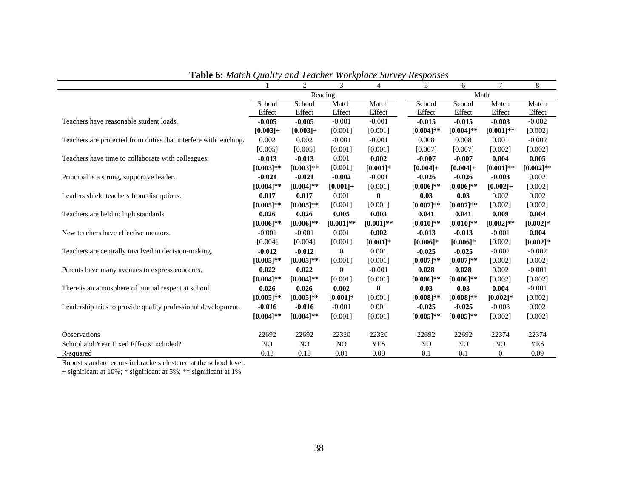|                                                                  |                | 2              | 3              | $\overline{4}$   | 5              | 6              | 7                | 8            |
|------------------------------------------------------------------|----------------|----------------|----------------|------------------|----------------|----------------|------------------|--------------|
|                                                                  |                | Reading        |                |                  |                | Math           |                  |              |
|                                                                  | School         | School         | Match          | Match            | School         | School         | Match            | Match        |
|                                                                  | Effect         | Effect         | Effect         | Effect           | Effect         | Effect         | Effect           | Effect       |
| Teachers have reasonable student loads.                          | $-0.005$       | $-0.005$       | $-0.001$       | $-0.001$         | $-0.015$       | $-0.015$       | $-0.003$         | $-0.002$     |
|                                                                  | $[0.003] +$    | $[0.003]+$     | [0.001]        | [0.001]          | $[0.004]$ **   | $[0.004]$ **   | $[0.001]$ **     | [0.002]      |
| Teachers are protected from duties that interfere with teaching. | 0.002          | 0.002          | $-0.001$       | $-0.001$         | 0.008          | 0.008          | 0.001            | $-0.002$     |
|                                                                  | [0.005]        | [0.005]        | [0.001]        | [0.001]          | [0.007]        | [0.007]        | [0.002]          | [0.002]      |
| Teachers have time to collaborate with colleagues.               | $-0.013$       | $-0.013$       | 0.001          | 0.002            | $-0.007$       | $-0.007$       | 0.004            | 0.005        |
|                                                                  | $[0.003]$ **   | $[0.003]$ **   | [0.001]        | $[0.001]$ *      | $[0.004] +$    | $[0.004] +$    | $[0.001]$ **     | $[0.002]$ ** |
| Principal is a strong, supportive leader.                        | $-0.021$       | $-0.021$       | $-0.002$       | $-0.001$         | $-0.026$       | $-0.026$       | $-0.003$         | 0.002        |
|                                                                  | $[0.004]$ **   | $[0.004]$ **   | $[0.001] +$    | [0.001]          | $[0.006]$ **   | $[0.006]$ **   | $[0.002] +$      | [0.002]      |
| Leaders shield teachers from disruptions.                        | 0.017          | 0.017          | 0.001          | $\overline{0}$   | 0.03           | 0.03           | 0.002            | 0.002        |
|                                                                  | $[0.005]$ **   | $[0.005]$ **   | [0.001]        | [0.001]          | $[0.007]**$    | $[0.007]$ **   | [0.002]          | [0.002]      |
| Teachers are held to high standards.                             | 0.026          | 0.026          | 0.005          | 0.003            | 0.041          | 0.041          | 0.009            | 0.004        |
|                                                                  | $[0.006]$ **   | $[0.006]$ **   | $[0.001]$ **   | $[0.001]$ **     | $[0.010]$ **   | $[0.010]$ **   | $[0.002]$ **     | $[0.002]$ *  |
| New teachers have effective mentors.                             | $-0.001$       | $-0.001$       | 0.001          | 0.002            | $-0.013$       | $-0.013$       | $-0.001$         | 0.004        |
|                                                                  | [0.004]        | [0.004]        | [0.001]        | $[0.001]*$       | $[0.006]$ *    | $[0.006]*$     | [0.002]          | $[0.002]*$   |
| Teachers are centrally involved in decision-making.              | $-0.012$       | $-0.012$       | $\mathbf{0}$   | 0.001            | $-0.025$       | $-0.025$       | $-0.002$         | $-0.002$     |
|                                                                  | $[0.005]$ **   | $[0.005]$ **   | [0.001]        | [0.001]          | $[0.007]**$    | $[0.007]**$    | [0.002]          | [0.002]      |
| Parents have many avenues to express concerns.                   | 0.022          | 0.022          | $\overline{0}$ | $-0.001$         | 0.028          | 0.028          | 0.002            | $-0.001$     |
|                                                                  | $[0.004]$ **   | $[0.004]$ **   | [0.001]        | [0.001]          | $[0.006]$ **   | $[0.006]$ **   | [0.002]          | [0.002]      |
| There is an atmosphere of mutual respect at school.              | 0.026          | 0.026          | 0.002          | $\boldsymbol{0}$ | 0.03           | 0.03           | 0.004            | $-0.001$     |
|                                                                  | $[0.005]$ **   | $[0.005]$ **   | $[0.001]*$     | [0.001]          | $[0.008]$ **   | $[0.008]$ **   | $[0.002]$ *      | [0.002]      |
| Leadership tries to provide quality professional development.    | $-0.016$       | $-0.016$       | $-0.001$       | 0.001            | $-0.025$       | $-0.025$       | $-0.003$         | 0.002        |
|                                                                  | $[0.004]$ **   | $[0.004]$ **   | [0.001]        | [0.001]          | $[0.005]$ **   | $[0.005]$ **   | [0.002]          | [0.002]      |
|                                                                  |                |                |                |                  |                |                |                  |              |
| Observations                                                     | 22692          | 22692          | 22320          | 22320            | 22692          | 22692          | 22374            | 22374        |
| School and Year Fixed Effects Included?                          | N <sub>O</sub> | N <sub>O</sub> | N <sub>O</sub> | <b>YES</b>       | N <sub>O</sub> | N <sub>O</sub> | N <sub>O</sub>   | <b>YES</b>   |
| R-squared                                                        | 0.13           | 0.13           | 0.01           | 0.08             | 0.1            | 0.1            | $\boldsymbol{0}$ | 0.09         |

**Table 6:** *Match Quality and Teacher Workplace Survey Responses* 

Robust standard errors in brackets clustered at the school level.

+ significant at 10%; \* significant at 5%; \*\* significant at 1%